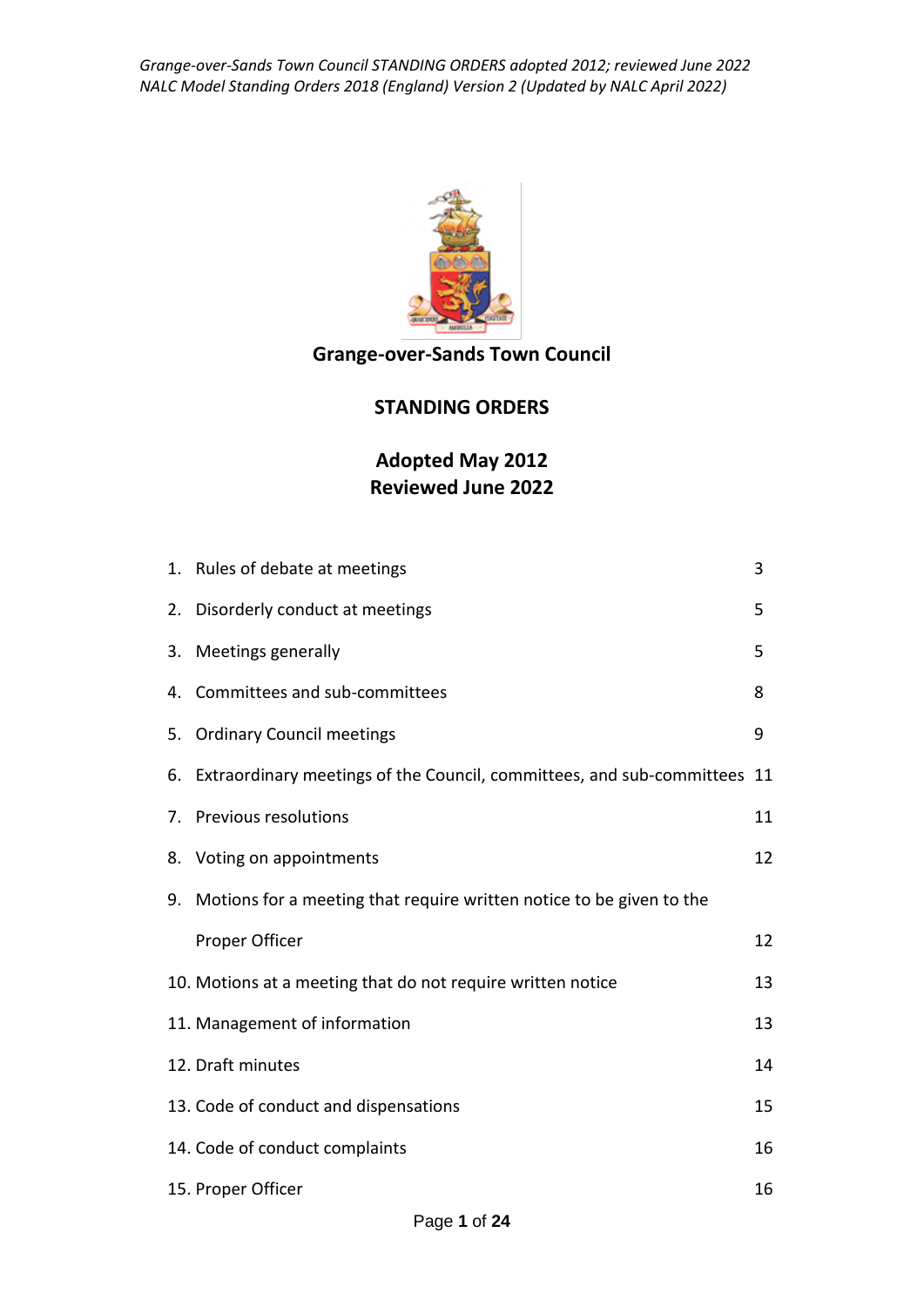

### **Grange-over-Sands Town Council**

#### **STANDING ORDERS**

### **Adopted May 2012 Reviewed June 2022**

|    | 1. Rules of debate at meetings                                              | 3  |
|----|-----------------------------------------------------------------------------|----|
|    | 2. Disorderly conduct at meetings                                           | 5  |
| 3. | Meetings generally                                                          | 5  |
| 4. | Committees and sub-committees                                               | 8  |
| 5. | <b>Ordinary Council meetings</b>                                            | 9  |
|    | 6. Extraordinary meetings of the Council, committees, and sub-committees 11 |    |
|    | 7. Previous resolutions                                                     | 11 |
|    | 8. Voting on appointments                                                   | 12 |
| 9. | Motions for a meeting that require written notice to be given to the        |    |
|    | Proper Officer                                                              | 12 |
|    | 10. Motions at a meeting that do not require written notice                 | 13 |
|    | 11. Management of information                                               | 13 |
|    | 12. Draft minutes                                                           | 14 |
|    | 13. Code of conduct and dispensations                                       | 15 |
|    | 14. Code of conduct complaints                                              | 16 |
|    | 15. Proper Officer                                                          | 16 |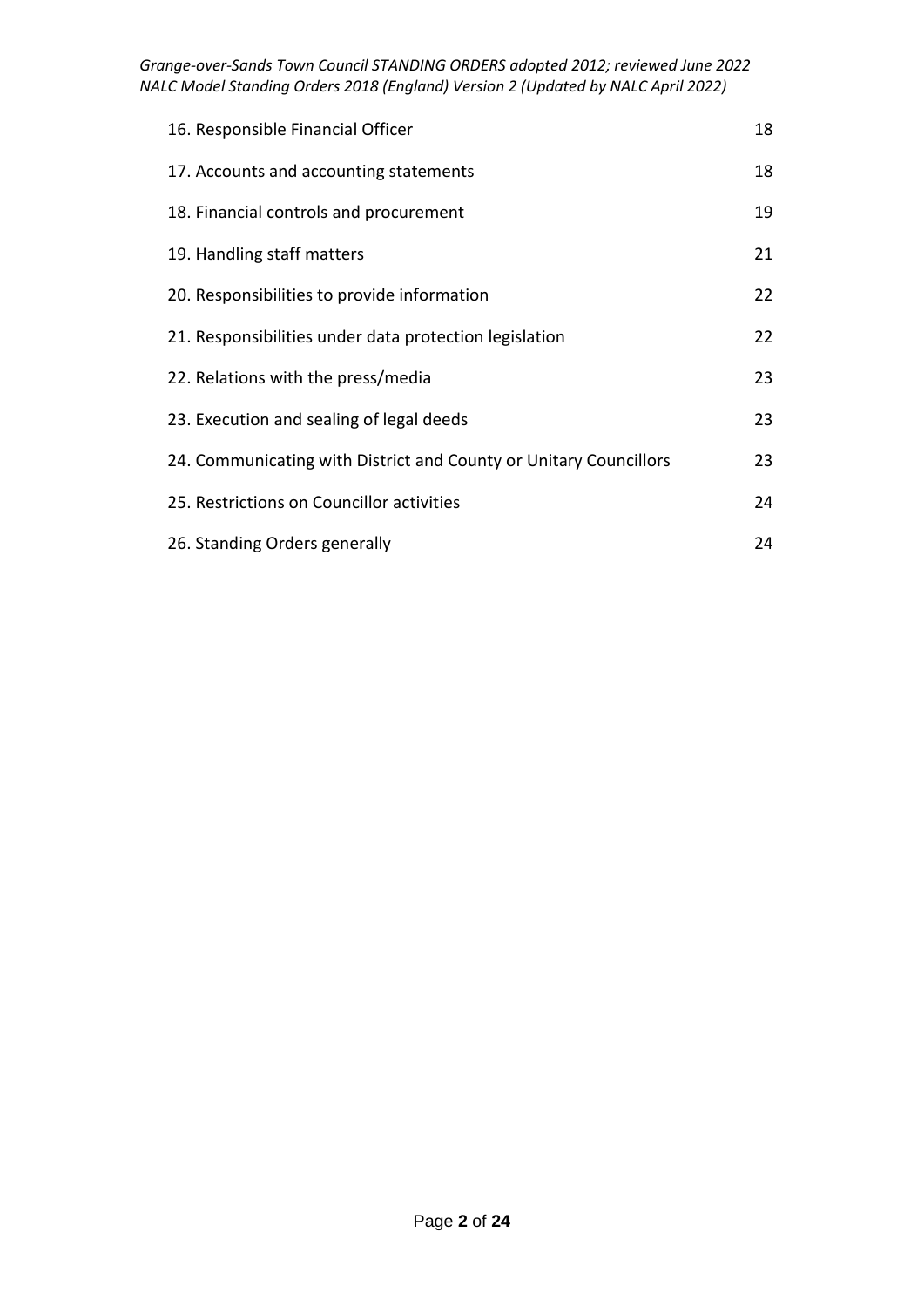| 16. Responsible Financial Officer                                 | 18 |
|-------------------------------------------------------------------|----|
| 17. Accounts and accounting statements                            | 18 |
| 18. Financial controls and procurement                            | 19 |
| 19. Handling staff matters                                        | 21 |
| 20. Responsibilities to provide information                       | 22 |
| 21. Responsibilities under data protection legislation            | 22 |
| 22. Relations with the press/media                                | 23 |
| 23. Execution and sealing of legal deeds                          | 23 |
| 24. Communicating with District and County or Unitary Councillors | 23 |
| 25. Restrictions on Councillor activities                         | 24 |
| 26. Standing Orders generally                                     | 24 |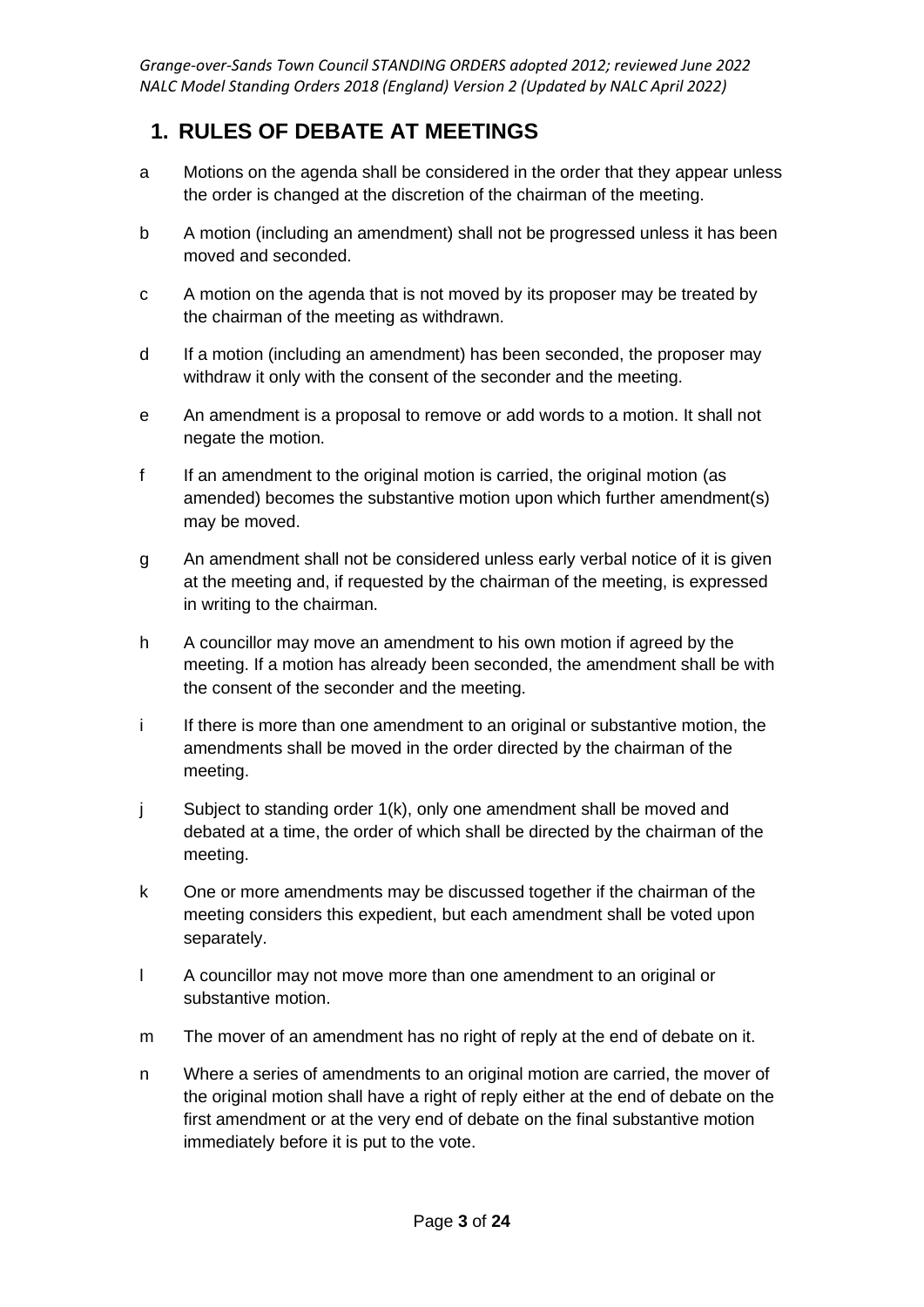#### **1. RULES OF DEBATE AT MEETINGS**

- a Motions on the agenda shall be considered in the order that they appear unless the order is changed at the discretion of the chairman of the meeting.
- b A motion (including an amendment) shall not be progressed unless it has been moved and seconded.
- c A motion on the agenda that is not moved by its proposer may be treated by the chairman of the meeting as withdrawn.
- d If a motion (including an amendment) has been seconded, the proposer may withdraw it only with the consent of the seconder and the meeting.
- e An amendment is a proposal to remove or add words to a motion. It shall not negate the motion.
- f If an amendment to the original motion is carried, the original motion (as amended) becomes the substantive motion upon which further amendment(s) may be moved.
- g An amendment shall not be considered unless early verbal notice of it is given at the meeting and, if requested by the chairman of the meeting, is expressed in writing to the chairman.
- h A councillor may move an amendment to his own motion if agreed by the meeting. If a motion has already been seconded, the amendment shall be with the consent of the seconder and the meeting.
- i If there is more than one amendment to an original or substantive motion, the amendments shall be moved in the order directed by the chairman of the meeting.
- j Subject to standing order 1(k), only one amendment shall be moved and debated at a time, the order of which shall be directed by the chairman of the meeting.
- k One or more amendments may be discussed together if the chairman of the meeting considers this expedient, but each amendment shall be voted upon separately.
- l A councillor may not move more than one amendment to an original or substantive motion.
- m The mover of an amendment has no right of reply at the end of debate on it.
- n Where a series of amendments to an original motion are carried, the mover of the original motion shall have a right of reply either at the end of debate on the first amendment or at the very end of debate on the final substantive motion immediately before it is put to the vote.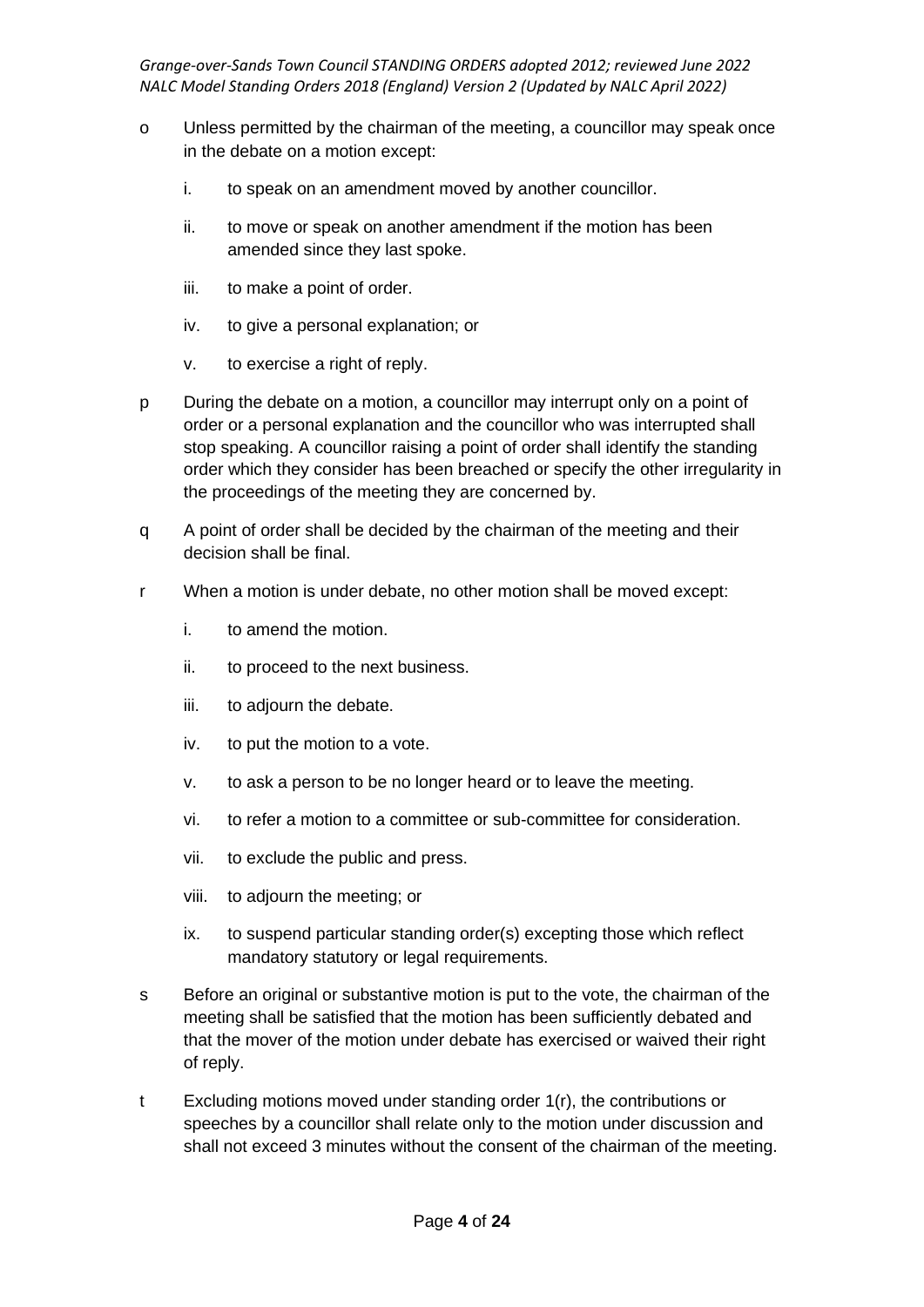- o Unless permitted by the chairman of the meeting, a councillor may speak once in the debate on a motion except:
	- i. to speak on an amendment moved by another councillor.
	- ii. to move or speak on another amendment if the motion has been amended since they last spoke.
	- iii. to make a point of order.
	- iv. to give a personal explanation; or
	- v. to exercise a right of reply.
- p During the debate on a motion, a councillor may interrupt only on a point of order or a personal explanation and the councillor who was interrupted shall stop speaking. A councillor raising a point of order shall identify the standing order which they consider has been breached or specify the other irregularity in the proceedings of the meeting they are concerned by.
- q A point of order shall be decided by the chairman of the meeting and their decision shall be final.
- r When a motion is under debate, no other motion shall be moved except:
	- i. to amend the motion.
	- ii. to proceed to the next business.
	- iii. to adjourn the debate.
	- iv. to put the motion to a vote.
	- v. to ask a person to be no longer heard or to leave the meeting.
	- vi. to refer a motion to a committee or sub-committee for consideration.
	- vii. to exclude the public and press.
	- viii. to adjourn the meeting; or
	- ix. to suspend particular standing order(s) excepting those which reflect mandatory statutory or legal requirements.
- s Before an original or substantive motion is put to the vote, the chairman of the meeting shall be satisfied that the motion has been sufficiently debated and that the mover of the motion under debate has exercised or waived their right of reply.
- t Excluding motions moved under standing order 1(r), the contributions or speeches by a councillor shall relate only to the motion under discussion and shall not exceed 3 minutes without the consent of the chairman of the meeting.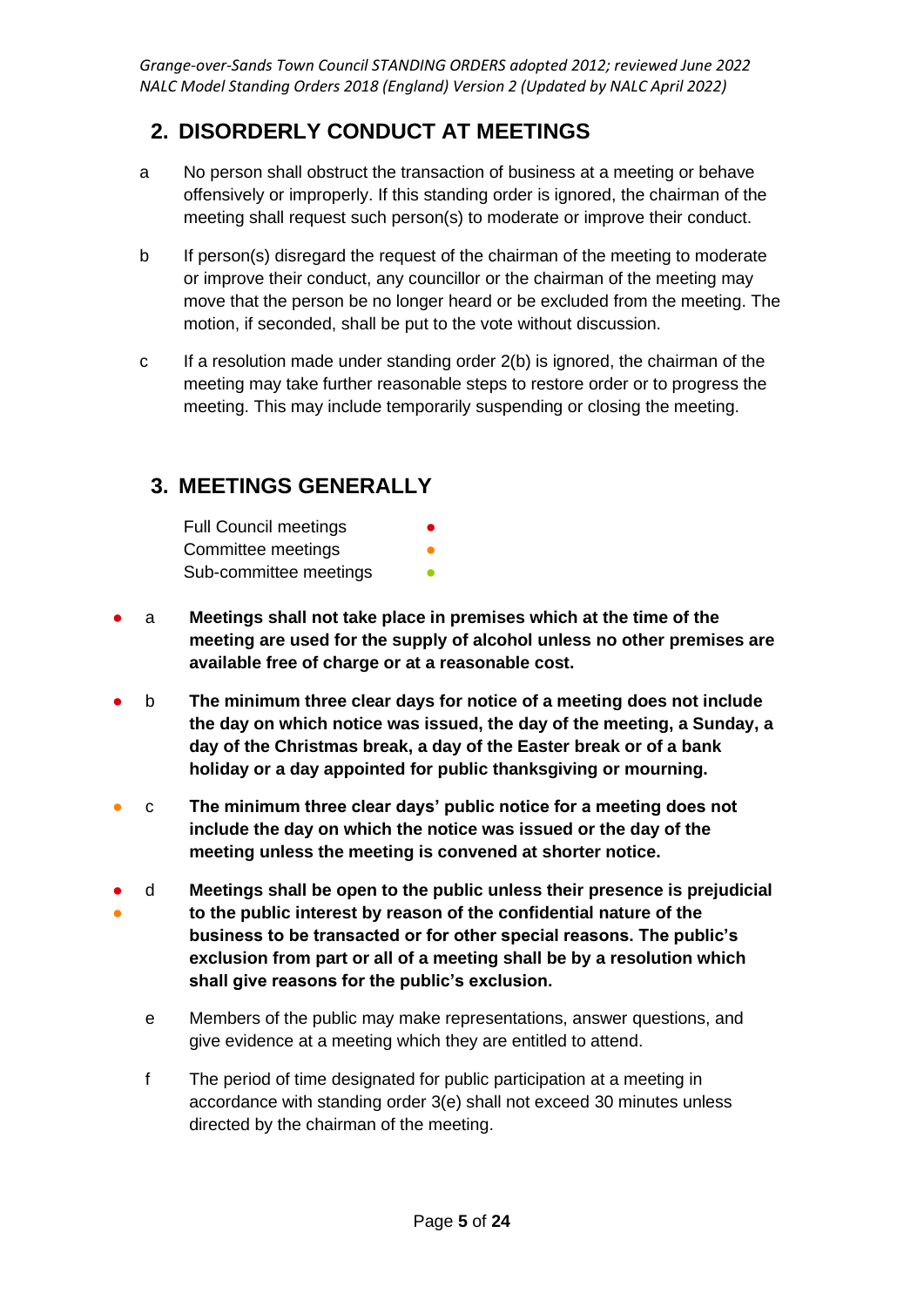### **2. DISORDERLY CONDUCT AT MEETINGS**

- a No person shall obstruct the transaction of business at a meeting or behave offensively or improperly. If this standing order is ignored, the chairman of the meeting shall request such person(s) to moderate or improve their conduct.
- b If person(s) disregard the request of the chairman of the meeting to moderate or improve their conduct, any councillor or the chairman of the meeting may move that the person be no longer heard or be excluded from the meeting. The motion, if seconded, shall be put to the vote without discussion.
- c If a resolution made under standing order 2(b) is ignored, the chairman of the meeting may take further reasonable steps to restore order or to progress the meeting. This may include temporarily suspending or closing the meeting.

### **3. MEETINGS GENERALLY**

| <b>Full Council meetings</b> | $\bullet$ |
|------------------------------|-----------|
| Committee meetings           |           |
| Sub-committee meetings       |           |

- a **Meetings shall not take place in premises which at the time of the meeting are used for the supply of alcohol unless no other premises are available free of charge or at a reasonable cost.**
- b **The minimum three clear days for notice of a meeting does not include the day on which notice was issued, the day of the meeting, a Sunday, a day of the Christmas break, a day of the Easter break or of a bank holiday or a day appointed for public thanksgiving or mourning.**
- c **The minimum three clear days' public notice for a meeting does not include the day on which the notice was issued or the day of the meeting unless the meeting is convened at shorter notice.**
- ● d **Meetings shall be open to the public unless their presence is prejudicial to the public interest by reason of the confidential nature of the business to be transacted or for other special reasons. The public's exclusion from part or all of a meeting shall be by a resolution which shall give reasons for the public's exclusion.**
	- e Members of the public may make representations, answer questions, and give evidence at a meeting which they are entitled to attend.
	- f The period of time designated for public participation at a meeting in accordance with standing order 3(e) shall not exceed 30 minutes unless directed by the chairman of the meeting.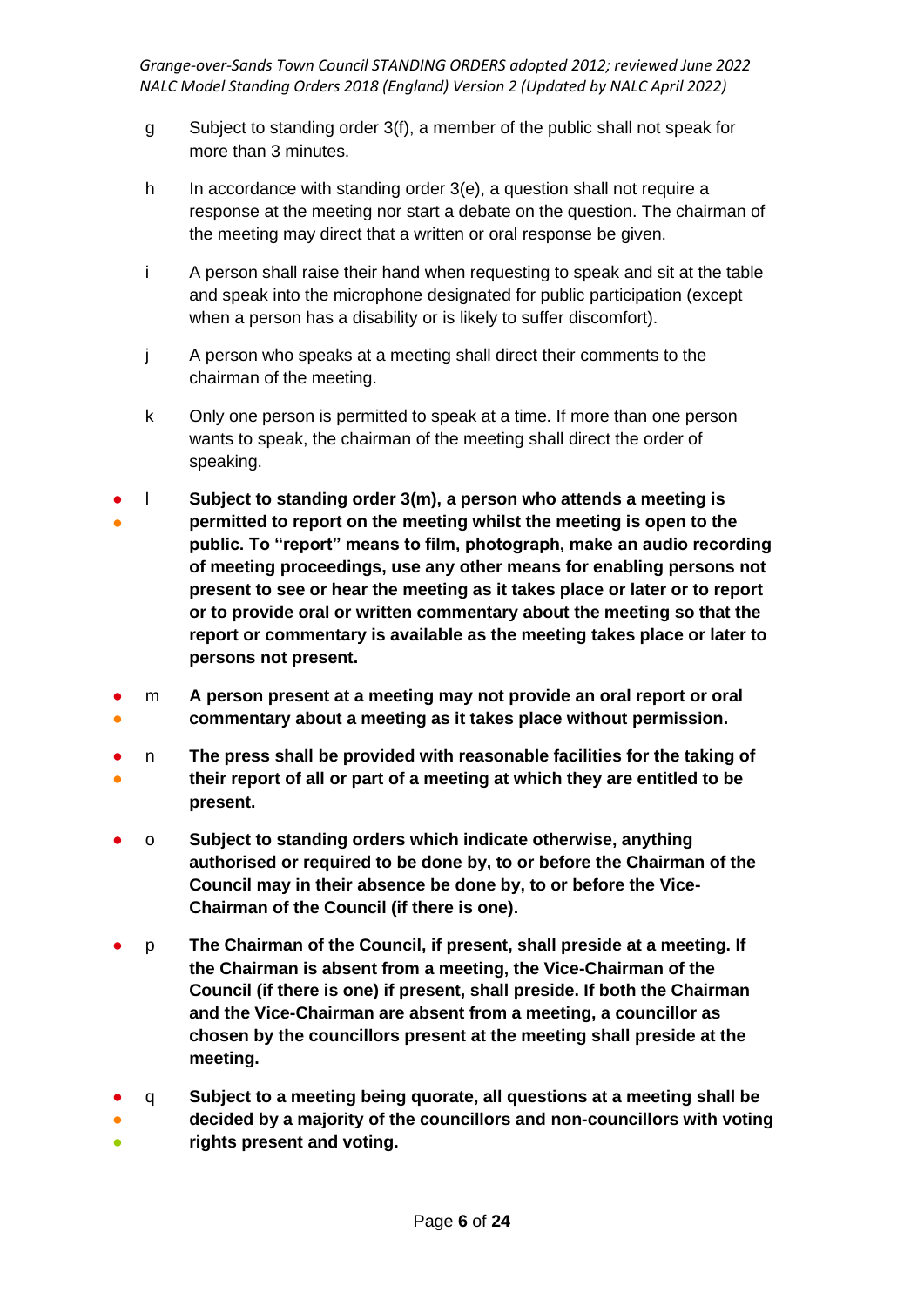- g Subject to standing order 3(f), a member of the public shall not speak for more than 3 minutes.
- h In accordance with standing order 3(e), a question shall not require a response at the meeting nor start a debate on the question. The chairman of the meeting may direct that a written or oral response be given.
- i A person shall raise their hand when requesting to speak and sit at the table and speak into the microphone designated for public participation (except when a person has a disability or is likely to suffer discomfort).
- j A person who speaks at a meeting shall direct their comments to the chairman of the meeting.
- k Only one person is permitted to speak at a time. If more than one person wants to speak, the chairman of the meeting shall direct the order of speaking.
- ● l **Subject to standing order 3(m), a person who attends a meeting is permitted to report on the meeting whilst the meeting is open to the public. To "report" means to film, photograph, make an audio recording of meeting proceedings, use any other means for enabling persons not present to see or hear the meeting as it takes place or later or to report or to provide oral or written commentary about the meeting so that the report or commentary is available as the meeting takes place or later to persons not present.**
- ● m **A person present at a meeting may not provide an oral report or oral commentary about a meeting as it takes place without permission.**
- ● n **The press shall be provided with reasonable facilities for the taking of their report of all or part of a meeting at which they are entitled to be present.**
- o **Subject to standing orders which indicate otherwise, anything authorised or required to be done by, to or before the Chairman of the Council may in their absence be done by, to or before the Vice-Chairman of the Council (if there is one).**
- p **The Chairman of the Council, if present, shall preside at a meeting. If the Chairman is absent from a meeting, the Vice-Chairman of the Council (if there is one) if present, shall preside. If both the Chairman and the Vice-Chairman are absent from a meeting, a councillor as chosen by the councillors present at the meeting shall preside at the meeting.**
- q **Subject to a meeting being quorate, all questions at a meeting shall be**
- **。 decided by a majority of the councillors and non-councillors with voting rights present and voting.**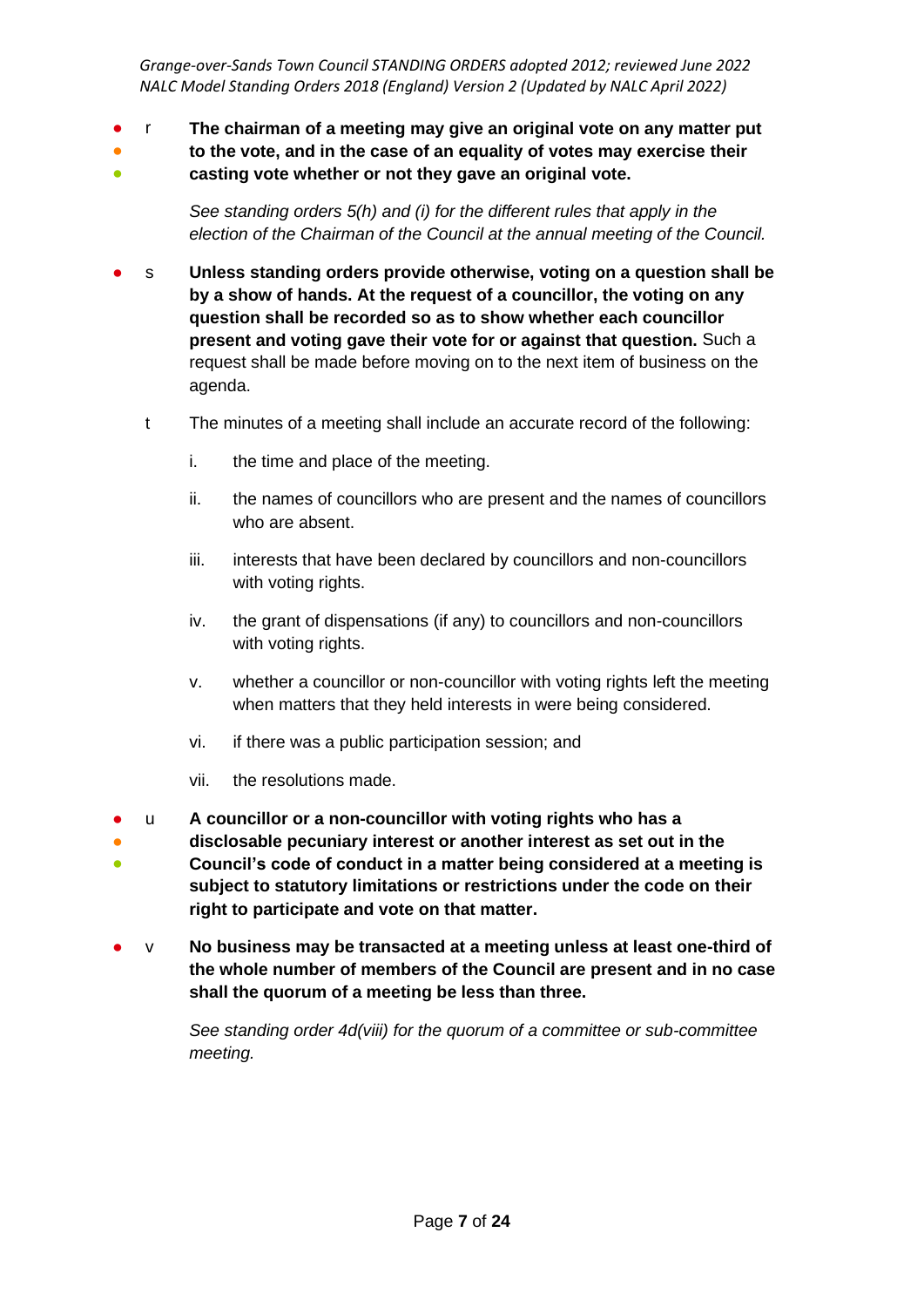- r **The chairman of a meeting may give an original vote on any matter put**
- **to the vote, and in the case of an equality of votes may exercise their**
- **casting vote whether or not they gave an original vote.**

*See standing orders 5(h) and (i) for the different rules that apply in the election of the Chairman of the Council at the annual meeting of the Council.*

- s Unless standing orders provide otherwise, voting on a question shall be **by a show of hands. At the request of a councillor, the voting on any question shall be recorded so as to show whether each councillor present and voting gave their vote for or against that question.** Such a request shall be made before moving on to the next item of business on the agenda.
	- t The minutes of a meeting shall include an accurate record of the following:
		- i. the time and place of the meeting.
		- ii. the names of councillors who are present and the names of councillors who are absent.
		- iii. interests that have been declared by councillors and non-councillors with voting rights.
		- iv. the grant of dispensations (if any) to councillors and non-councillors with voting rights.
		- v. whether a councillor or non-councillor with voting rights left the meeting when matters that they held interests in were being considered.
		- vi. if there was a public participation session; and
		- vii. the resolutions made.
- u **A councillor or a non-councillor with voting rights who has a**
- ● **disclosable pecuniary interest or another interest as set out in the Council's code of conduct in a matter being considered at a meeting is subject to statutory limitations or restrictions under the code on their right to participate and vote on that matter.**
- v **No business may be transacted at a meeting unless at least one-third of the whole number of members of the Council are present and in no case shall the quorum of a meeting be less than three.**

*See standing order 4d(viii) for the quorum of a committee or sub-committee meeting.*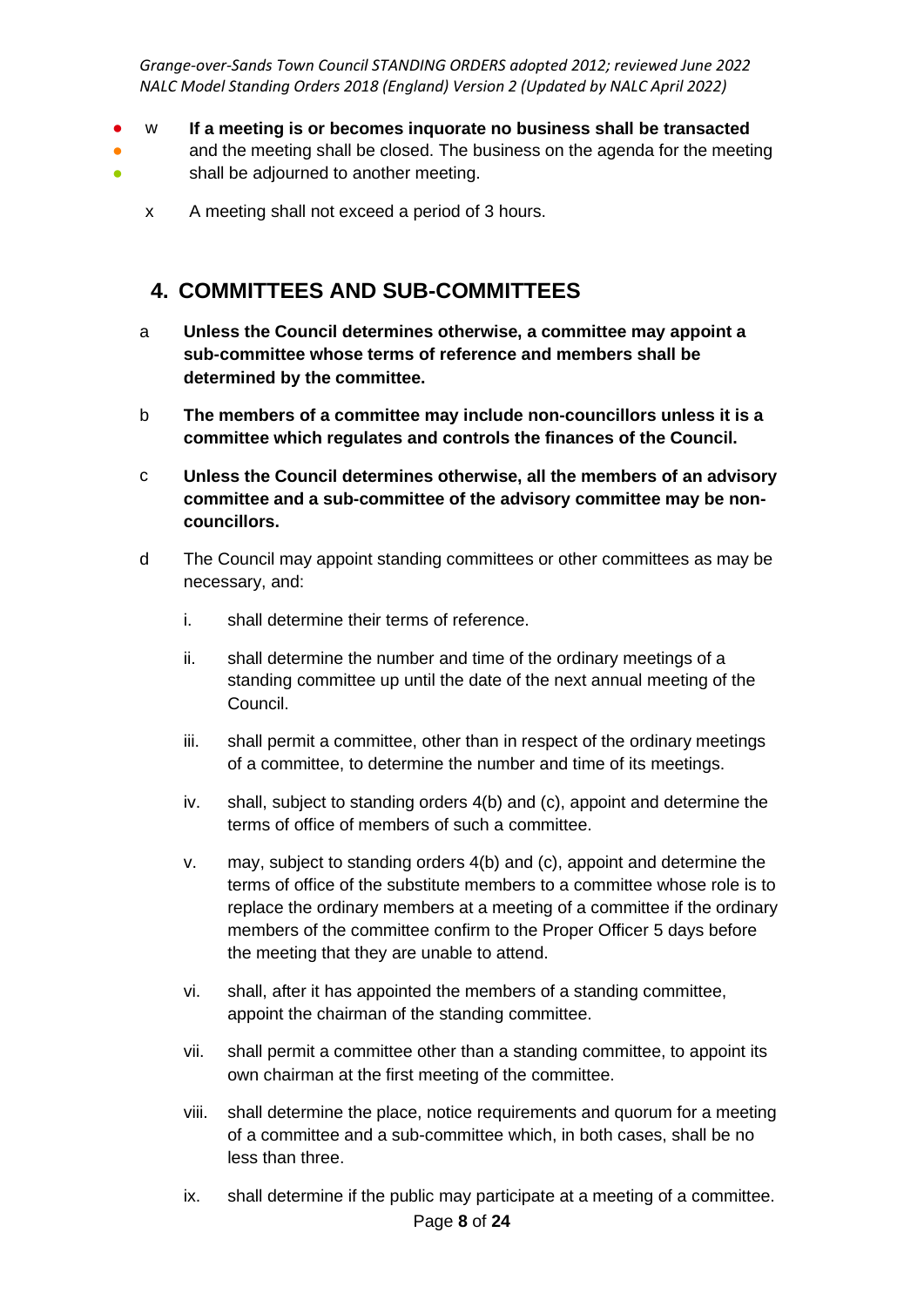- w **If a meeting is or becomes inquorate no business shall be transacted**
- $\bullet$ and the meeting shall be closed. The business on the agenda for the meeting shall be adjourned to another meeting.
	- x A meeting shall not exceed a period of 3 hours.

#### **4. COMMITTEES AND SUB-COMMITTEES**

- a **Unless the Council determines otherwise, a committee may appoint a sub-committee whose terms of reference and members shall be determined by the committee.**
- b **The members of a committee may include non-councillors unless it is a committee which regulates and controls the finances of the Council.**
- c **Unless the Council determines otherwise, all the members of an advisory committee and a sub-committee of the advisory committee may be noncouncillors.**
- d The Council may appoint standing committees or other committees as may be necessary, and:
	- i. shall determine their terms of reference.
	- ii. shall determine the number and time of the ordinary meetings of a standing committee up until the date of the next annual meeting of the Council.
	- iii. shall permit a committee, other than in respect of the ordinary meetings of a committee, to determine the number and time of its meetings.
	- iv. shall, subject to standing orders 4(b) and (c), appoint and determine the terms of office of members of such a committee.
	- v. may, subject to standing orders 4(b) and (c), appoint and determine the terms of office of the substitute members to a committee whose role is to replace the ordinary members at a meeting of a committee if the ordinary members of the committee confirm to the Proper Officer 5 days before the meeting that they are unable to attend.
	- vi. shall, after it has appointed the members of a standing committee, appoint the chairman of the standing committee.
	- vii. shall permit a committee other than a standing committee, to appoint its own chairman at the first meeting of the committee.
	- viii. shall determine the place, notice requirements and quorum for a meeting of a committee and a sub-committee which, in both cases, shall be no less than three.
	- Page **8** of **24** ix. shall determine if the public may participate at a meeting of a committee.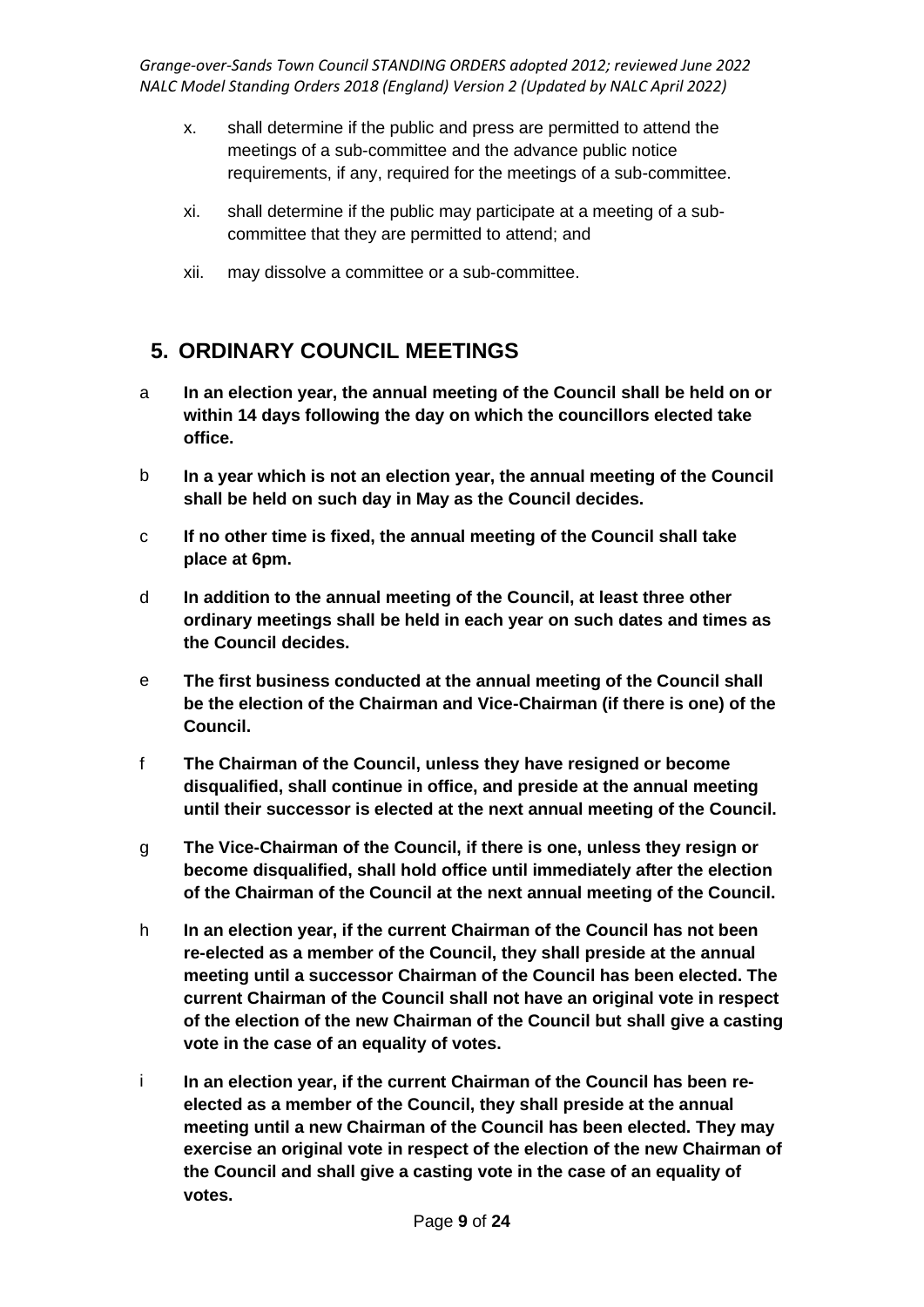- x. shall determine if the public and press are permitted to attend the meetings of a sub-committee and the advance public notice requirements, if any, required for the meetings of a sub-committee.
- xi. shall determine if the public may participate at a meeting of a subcommittee that they are permitted to attend; and
- xii. may dissolve a committee or a sub-committee.

### **5. ORDINARY COUNCIL MEETINGS**

- a **In an election year, the annual meeting of the Council shall be held on or within 14 days following the day on which the councillors elected take office.**
- b **In a year which is not an election year, the annual meeting of the Council shall be held on such day in May as the Council decides.**
- c **If no other time is fixed, the annual meeting of the Council shall take place at 6pm.**
- d **In addition to the annual meeting of the Council, at least three other ordinary meetings shall be held in each year on such dates and times as the Council decides.**
- e **The first business conducted at the annual meeting of the Council shall be the election of the Chairman and Vice-Chairman (if there is one) of the Council.**
- f **The Chairman of the Council, unless they have resigned or become disqualified, shall continue in office, and preside at the annual meeting until their successor is elected at the next annual meeting of the Council.**
- g **The Vice-Chairman of the Council, if there is one, unless they resign or become disqualified, shall hold office until immediately after the election of the Chairman of the Council at the next annual meeting of the Council.**
- h **In an election year, if the current Chairman of the Council has not been re-elected as a member of the Council, they shall preside at the annual meeting until a successor Chairman of the Council has been elected. The current Chairman of the Council shall not have an original vote in respect of the election of the new Chairman of the Council but shall give a casting vote in the case of an equality of votes.**
- i **In an election year, if the current Chairman of the Council has been reelected as a member of the Council, they shall preside at the annual meeting until a new Chairman of the Council has been elected. They may exercise an original vote in respect of the election of the new Chairman of the Council and shall give a casting vote in the case of an equality of votes.**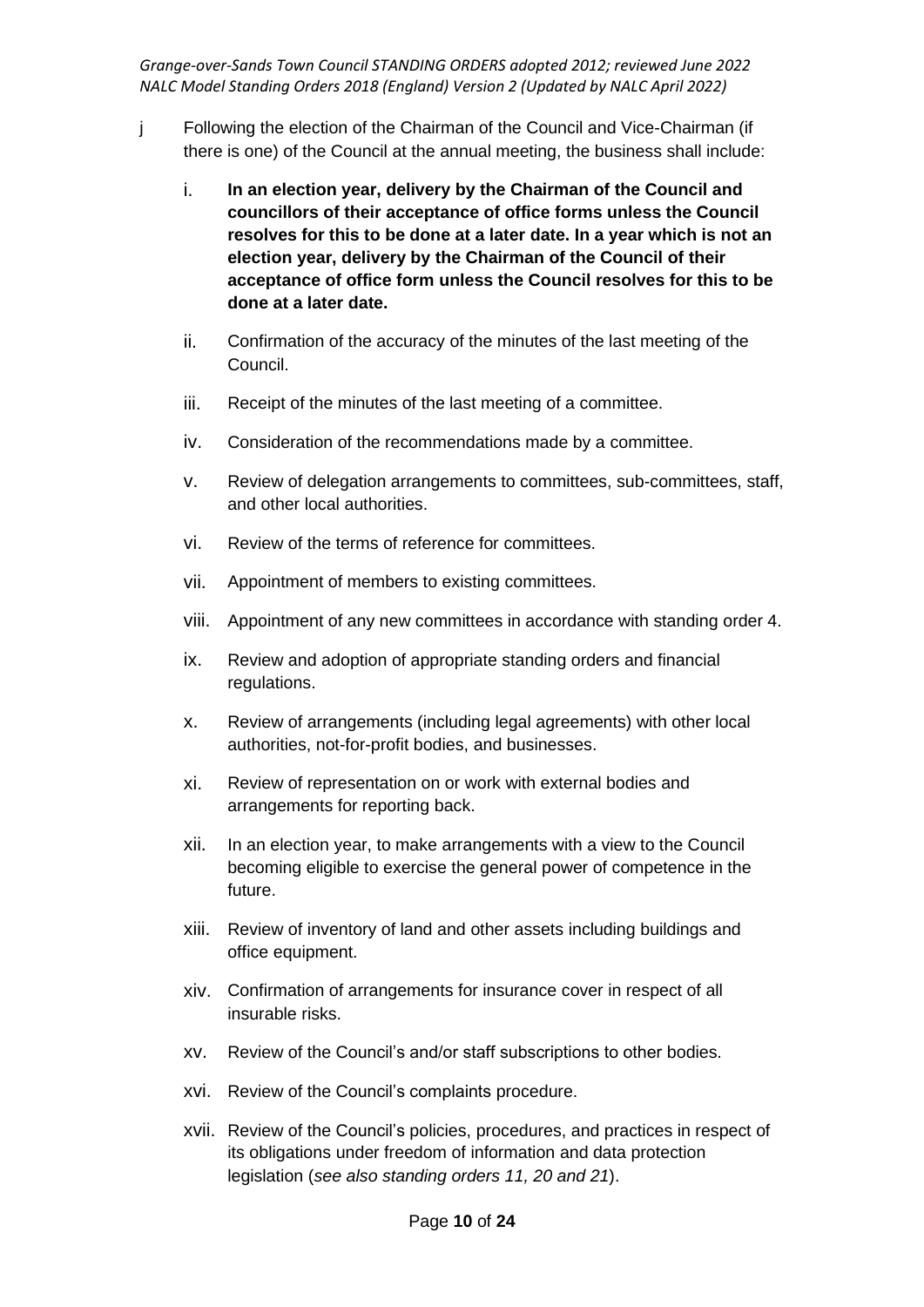- j Following the election of the Chairman of the Council and Vice-Chairman (if there is one) of the Council at the annual meeting, the business shall include:
	- i. **In an election year, delivery by the Chairman of the Council and councillors of their acceptance of office forms unless the Council resolves for this to be done at a later date. In a year which is not an election year, delivery by the Chairman of the Council of their acceptance of office form unless the Council resolves for this to be done at a later date.**
	- ii. Confirmation of the accuracy of the minutes of the last meeting of the Council.
	- iii. Receipt of the minutes of the last meeting of a committee.
	- iv. Consideration of the recommendations made by a committee.
	- v. Review of delegation arrangements to committees, sub-committees, staff, and other local authorities.
	- vi. Review of the terms of reference for committees.
	- vii. Appointment of members to existing committees.
	- viii. Appointment of any new committees in accordance with standing order 4.
	- ix. Review and adoption of appropriate standing orders and financial regulations.
	- x. Review of arrangements (including legal agreements) with other local authorities, not-for-profit bodies, and businesses.
	- xi. Review of representation on or work with external bodies and arrangements for reporting back.
	- xii. In an election year, to make arrangements with a view to the Council becoming eligible to exercise the general power of competence in the future.
	- xiii. Review of inventory of land and other assets including buildings and office equipment.
	- xiv. Confirmation of arrangements for insurance cover in respect of all insurable risks.
	- xv. Review of the Council's and/or staff subscriptions to other bodies.
	- xvi. Review of the Council's complaints procedure.
	- xvii. Review of the Council's policies, procedures, and practices in respect of its obligations under freedom of information and data protection legislation (*see also standing orders 11, 20 and 21*).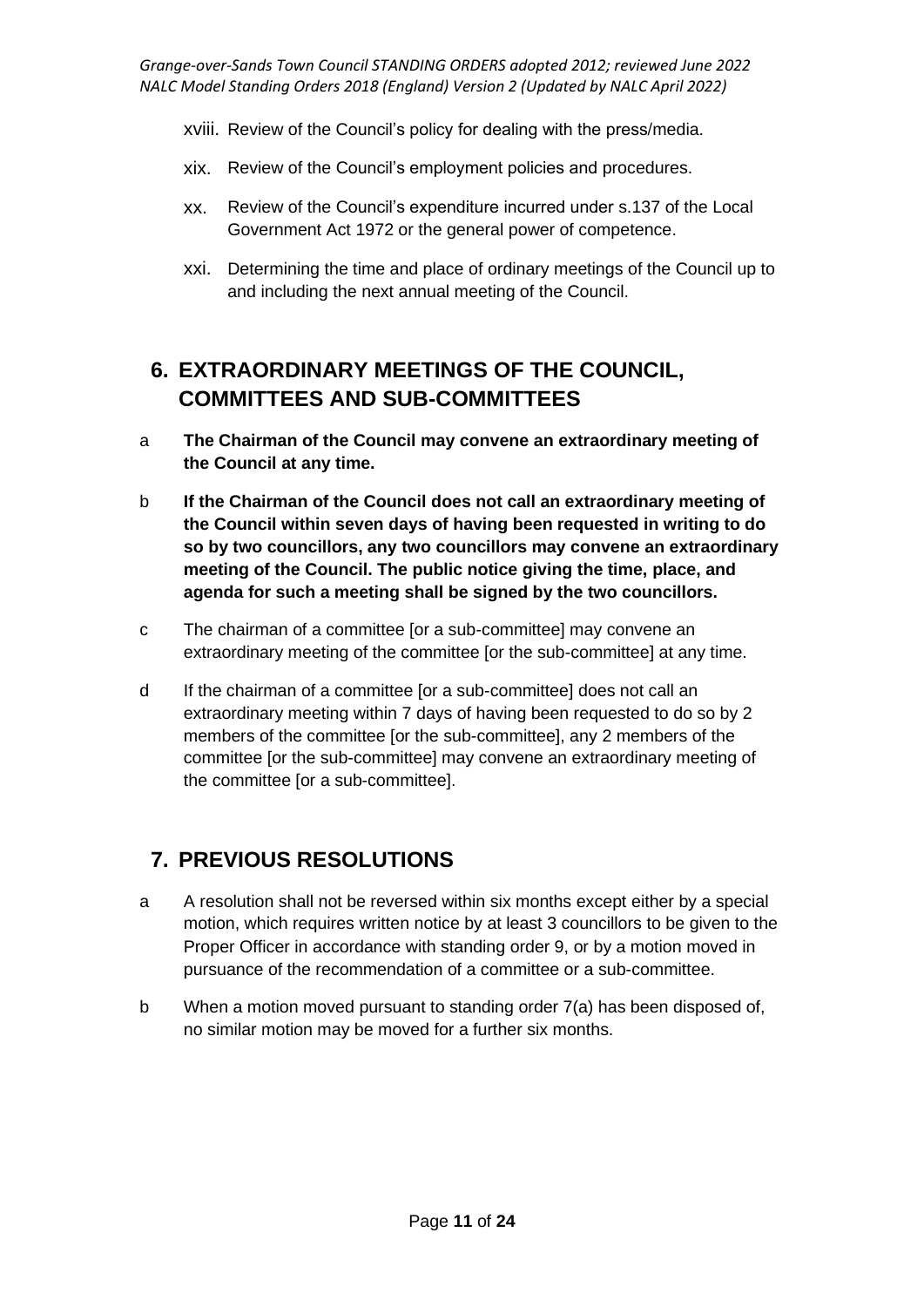- xviii. Review of the Council's policy for dealing with the press/media.
- xix. Review of the Council's employment policies and procedures.
- xx. Review of the Council's expenditure incurred under s.137 of the Local Government Act 1972 or the general power of competence.
- xxi. Determining the time and place of ordinary meetings of the Council up to and including the next annual meeting of the Council.

# **6. EXTRAORDINARY MEETINGS OF THE COUNCIL, COMMITTEES AND SUB-COMMITTEES**

- a **The Chairman of the Council may convene an extraordinary meeting of the Council at any time.**
- b **If the Chairman of the Council does not call an extraordinary meeting of the Council within seven days of having been requested in writing to do so by two councillors, any two councillors may convene an extraordinary meeting of the Council. The public notice giving the time, place, and agenda for such a meeting shall be signed by the two councillors.**
- c The chairman of a committee [or a sub-committee] may convene an extraordinary meeting of the committee [or the sub-committee] at any time.
- d If the chairman of a committee [or a sub-committee] does not call an extraordinary meeting within 7 days of having been requested to do so by 2 members of the committee [or the sub-committee], any 2 members of the committee [or the sub-committee] may convene an extraordinary meeting of the committee [or a sub-committee].

# **7. PREVIOUS RESOLUTIONS**

- a A resolution shall not be reversed within six months except either by a special motion, which requires written notice by at least 3 councillors to be given to the Proper Officer in accordance with standing order 9, or by a motion moved in pursuance of the recommendation of a committee or a sub-committee.
- b When a motion moved pursuant to standing order 7(a) has been disposed of, no similar motion may be moved for a further six months.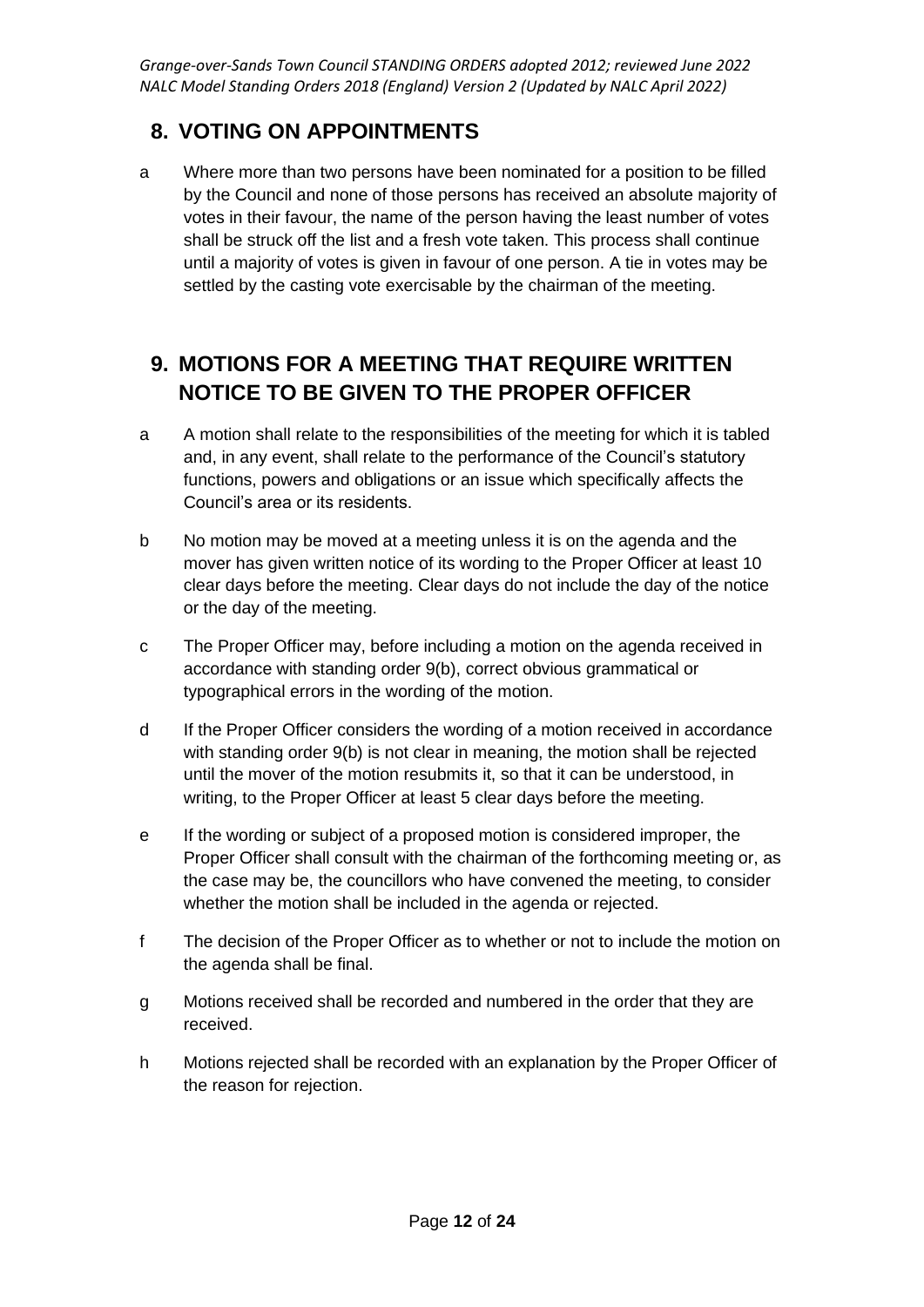### **8. VOTING ON APPOINTMENTS**

a Where more than two persons have been nominated for a position to be filled by the Council and none of those persons has received an absolute majority of votes in their favour, the name of the person having the least number of votes shall be struck off the list and a fresh vote taken. This process shall continue until a majority of votes is given in favour of one person. A tie in votes may be settled by the casting vote exercisable by the chairman of the meeting.

# **9. MOTIONS FOR A MEETING THAT REQUIRE WRITTEN NOTICE TO BE GIVEN TO THE PROPER OFFICER**

- a A motion shall relate to the responsibilities of the meeting for which it is tabled and, in any event, shall relate to the performance of the Council's statutory functions, powers and obligations or an issue which specifically affects the Council's area or its residents.
- b No motion may be moved at a meeting unless it is on the agenda and the mover has given written notice of its wording to the Proper Officer at least 10 clear days before the meeting. Clear days do not include the day of the notice or the day of the meeting.
- c The Proper Officer may, before including a motion on the agenda received in accordance with standing order 9(b), correct obvious grammatical or typographical errors in the wording of the motion.
- d If the Proper Officer considers the wording of a motion received in accordance with standing order 9(b) is not clear in meaning, the motion shall be rejected until the mover of the motion resubmits it, so that it can be understood, in writing, to the Proper Officer at least 5 clear days before the meeting.
- e If the wording or subject of a proposed motion is considered improper, the Proper Officer shall consult with the chairman of the forthcoming meeting or, as the case may be, the councillors who have convened the meeting, to consider whether the motion shall be included in the agenda or rejected.
- f The decision of the Proper Officer as to whether or not to include the motion on the agenda shall be final.
- g Motions received shall be recorded and numbered in the order that they are received.
- h Motions rejected shall be recorded with an explanation by the Proper Officer of the reason for rejection.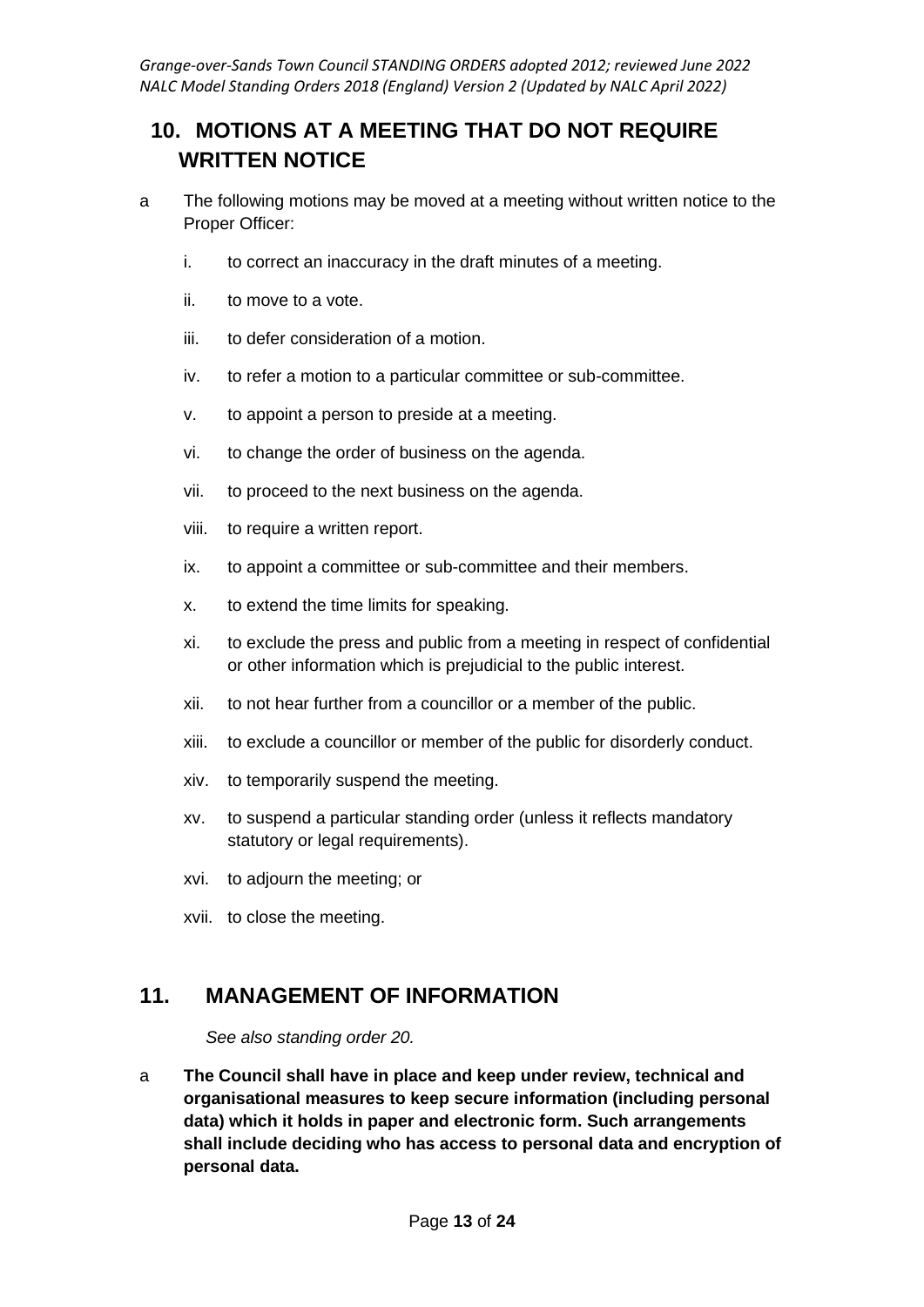# **10. MOTIONS AT A MEETING THAT DO NOT REQUIRE WRITTEN NOTICE**

- a The following motions may be moved at a meeting without written notice to the Proper Officer:
	- i. to correct an inaccuracy in the draft minutes of a meeting.
	- ii. to move to a vote.
	- iii. to defer consideration of a motion.
	- iv. to refer a motion to a particular committee or sub-committee.
	- v. to appoint a person to preside at a meeting.
	- vi. to change the order of business on the agenda.
	- vii. to proceed to the next business on the agenda.
	- viii. to require a written report.
	- ix. to appoint a committee or sub-committee and their members.
	- x. to extend the time limits for speaking.
	- xi. to exclude the press and public from a meeting in respect of confidential or other information which is prejudicial to the public interest.
	- xii. to not hear further from a councillor or a member of the public.
	- xiii. to exclude a councillor or member of the public for disorderly conduct.
	- xiv. to temporarily suspend the meeting.
	- xv. to suspend a particular standing order (unless it reflects mandatory statutory or legal requirements).
	- xvi. to adjourn the meeting; or
	- xvii. to close the meeting.

### **11. MANAGEMENT OF INFORMATION**

*See also standing order 20.*

a **The Council shall have in place and keep under review, technical and organisational measures to keep secure information (including personal data) which it holds in paper and electronic form. Such arrangements shall include deciding who has access to personal data and encryption of personal data.**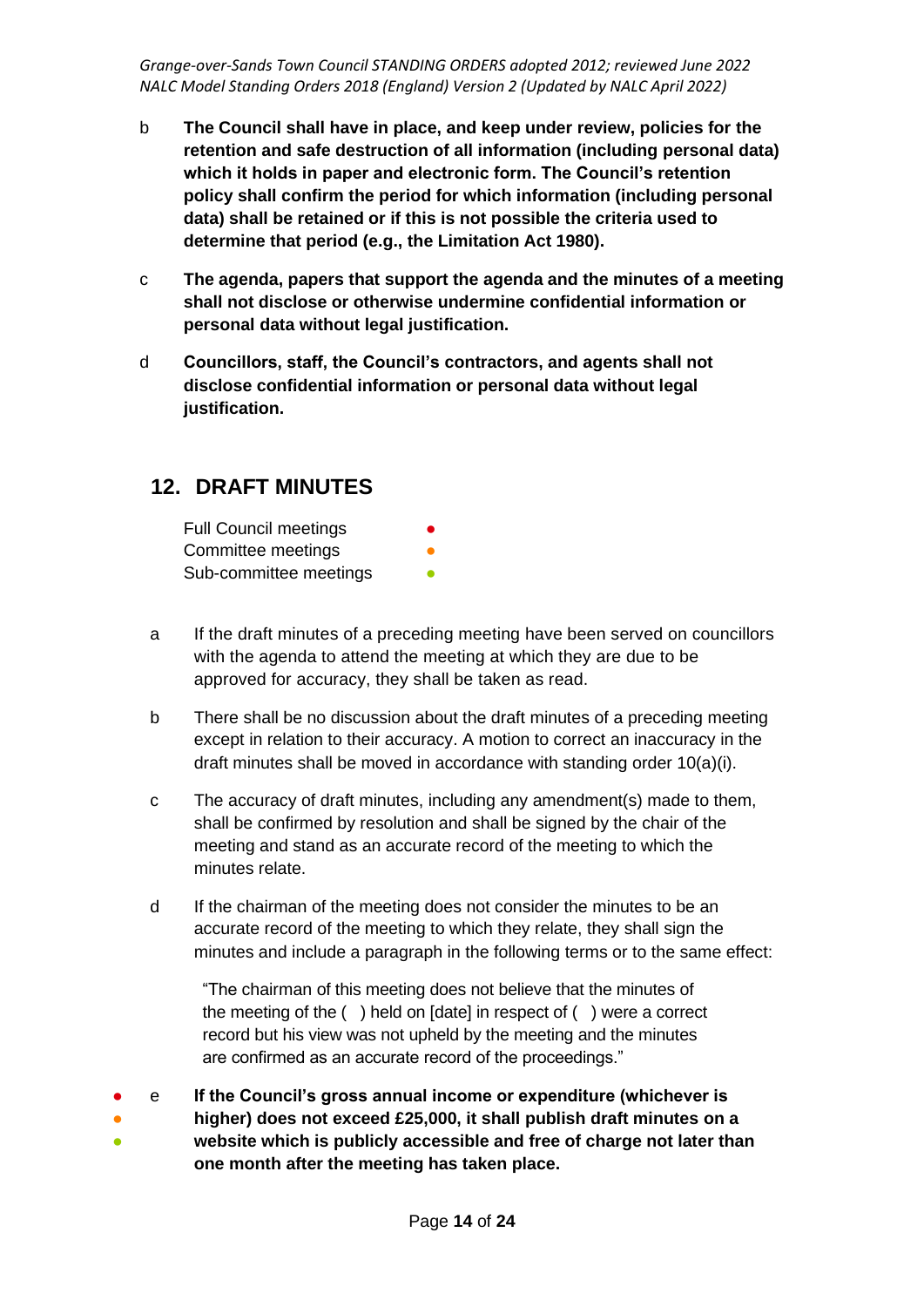- b **The Council shall have in place, and keep under review, policies for the retention and safe destruction of all information (including personal data) which it holds in paper and electronic form. The Council's retention policy shall confirm the period for which information (including personal data) shall be retained or if this is not possible the criteria used to determine that period (e.g., the Limitation Act 1980).**
- c **The agenda, papers that support the agenda and the minutes of a meeting shall not disclose or otherwise undermine confidential information or personal data without legal justification.**
- d **Councillors, staff, the Council's contractors, and agents shall not disclose confidential information or personal data without legal justification.**

#### **12. DRAFT MINUTES**

| <b>Full Council meetings</b> | 0 |
|------------------------------|---|
| Committee meetings           |   |
| Sub-committee meetings       |   |

- a If the draft minutes of a preceding meeting have been served on councillors with the agenda to attend the meeting at which they are due to be approved for accuracy, they shall be taken as read.
- b There shall be no discussion about the draft minutes of a preceding meeting except in relation to their accuracy. A motion to correct an inaccuracy in the draft minutes shall be moved in accordance with standing order 10(a)(i).
- c The accuracy of draft minutes, including any amendment(s) made to them, shall be confirmed by resolution and shall be signed by the chair of the meeting and stand as an accurate record of the meeting to which the minutes relate.
- d If the chairman of the meeting does not consider the minutes to be an accurate record of the meeting to which they relate, they shall sign the minutes and include a paragraph in the following terms or to the same effect:

"The chairman of this meeting does not believe that the minutes of the meeting of the ( ) held on [date] in respect of ( ) were a correct record but his view was not upheld by the meeting and the minutes are confirmed as an accurate record of the proceedings."

- e **If the Council's gross annual income or expenditure (whichever is**
- ● **higher) does not exceed £25,000, it shall publish draft minutes on a website which is publicly accessible and free of charge not later than one month after the meeting has taken place.**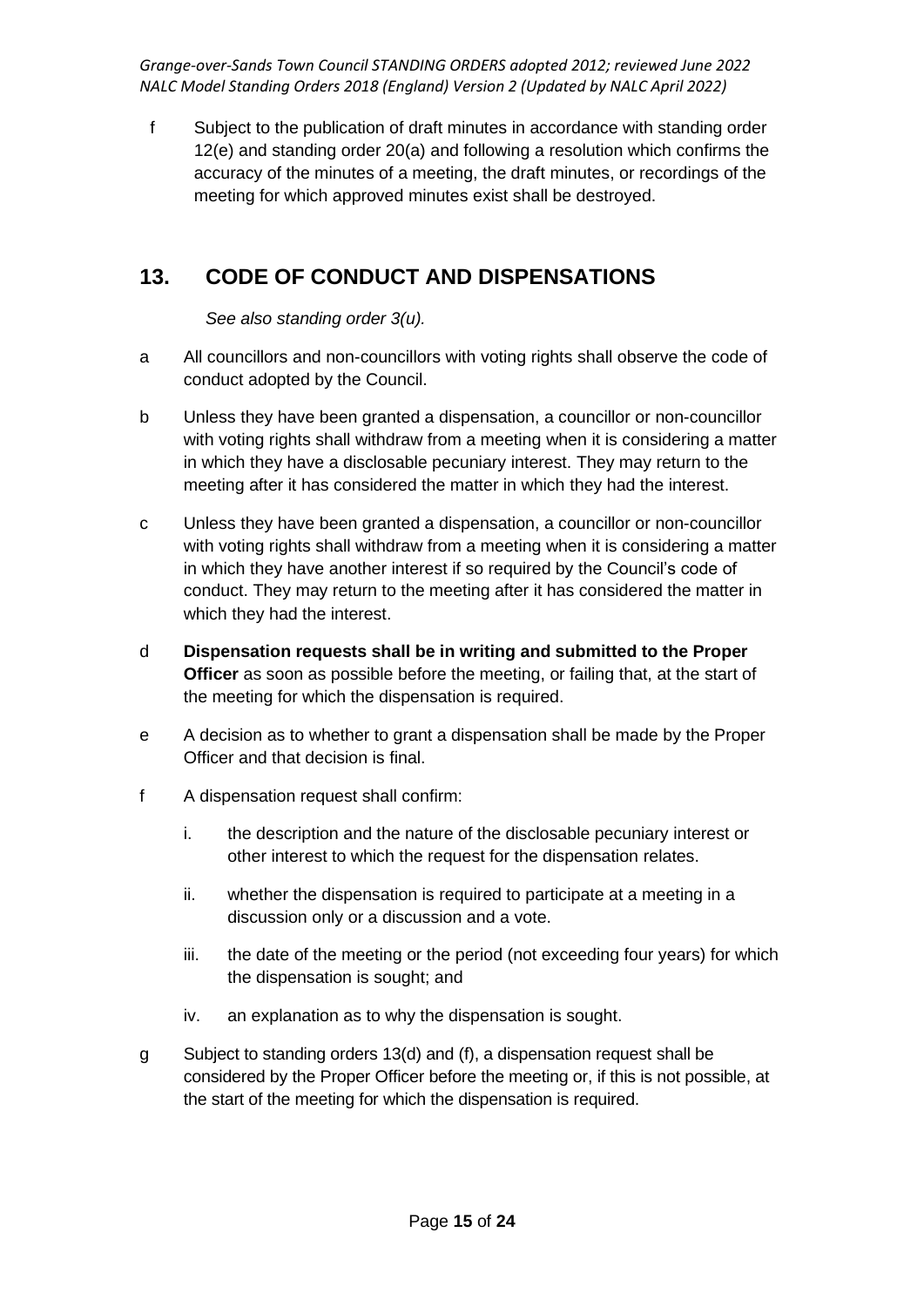f Subject to the publication of draft minutes in accordance with standing order 12(e) and standing order 20(a) and following a resolution which confirms the accuracy of the minutes of a meeting, the draft minutes, or recordings of the meeting for which approved minutes exist shall be destroyed.

# **13. CODE OF CONDUCT AND DISPENSATIONS**

*See also standing order 3(u).*

- a All councillors and non-councillors with voting rights shall observe the code of conduct adopted by the Council.
- b Unless they have been granted a dispensation, a councillor or non-councillor with voting rights shall withdraw from a meeting when it is considering a matter in which they have a disclosable pecuniary interest. They may return to the meeting after it has considered the matter in which they had the interest.
- c Unless they have been granted a dispensation, a councillor or non-councillor with voting rights shall withdraw from a meeting when it is considering a matter in which they have another interest if so required by the Council's code of conduct. They may return to the meeting after it has considered the matter in which they had the interest.
- d **Dispensation requests shall be in writing and submitted to the Proper Officer** as soon as possible before the meeting, or failing that, at the start of the meeting for which the dispensation is required.
- e A decision as to whether to grant a dispensation shall be made by the Proper Officer and that decision is final.
- f A dispensation request shall confirm:
	- i. the description and the nature of the disclosable pecuniary interest or other interest to which the request for the dispensation relates.
	- ii. whether the dispensation is required to participate at a meeting in a discussion only or a discussion and a vote.
	- iii. the date of the meeting or the period (not exceeding four years) for which the dispensation is sought; and
	- iv. an explanation as to why the dispensation is sought.
- g Subject to standing orders 13(d) and (f), a dispensation request shall be considered by the Proper Officer before the meeting or, if this is not possible, at the start of the meeting for which the dispensation is required.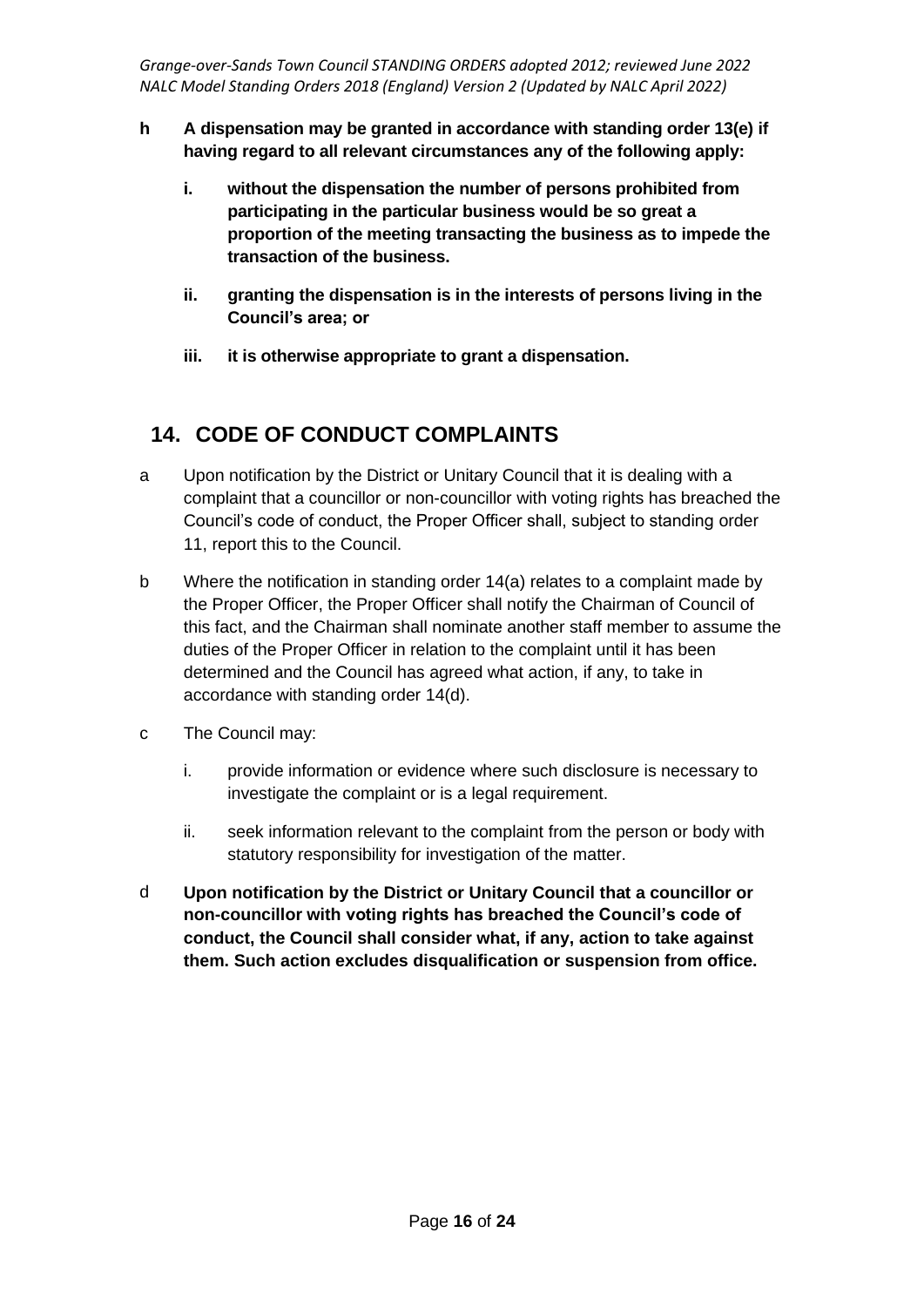- **h A dispensation may be granted in accordance with standing order 13(e) if having regard to all relevant circumstances any of the following apply:**
	- **i. without the dispensation the number of persons prohibited from participating in the particular business would be so great a proportion of the meeting transacting the business as to impede the transaction of the business.**
	- **ii. granting the dispensation is in the interests of persons living in the Council's area; or**
	- **iii. it is otherwise appropriate to grant a dispensation.**

# **14. CODE OF CONDUCT COMPLAINTS**

- a Upon notification by the District or Unitary Council that it is dealing with a complaint that a councillor or non-councillor with voting rights has breached the Council's code of conduct, the Proper Officer shall, subject to standing order 11, report this to the Council.
- b Where the notification in standing order 14(a) relates to a complaint made by the Proper Officer, the Proper Officer shall notify the Chairman of Council of this fact, and the Chairman shall nominate another staff member to assume the duties of the Proper Officer in relation to the complaint until it has been determined and the Council has agreed what action, if any, to take in accordance with standing order 14(d).
- c The Council may:
	- i. provide information or evidence where such disclosure is necessary to investigate the complaint or is a legal requirement.
	- ii. seek information relevant to the complaint from the person or body with statutory responsibility for investigation of the matter.
- d **Upon notification by the District or Unitary Council that a councillor or non-councillor with voting rights has breached the Council's code of conduct, the Council shall consider what, if any, action to take against them. Such action excludes disqualification or suspension from office.**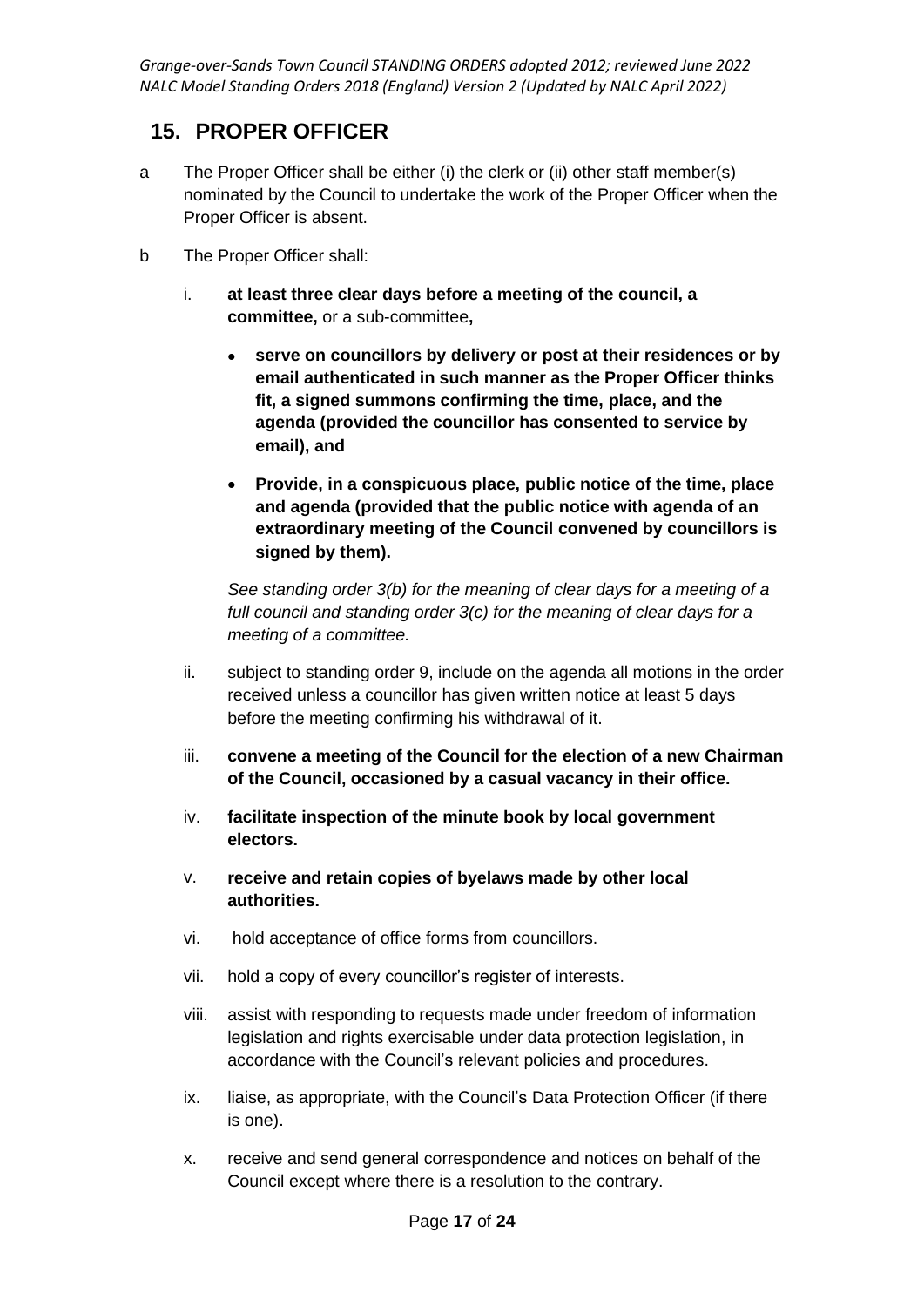#### **15. PROPER OFFICER**

- a The Proper Officer shall be either (i) the clerk or (ii) other staff member(s) nominated by the Council to undertake the work of the Proper Officer when the Proper Officer is absent.
- b The Proper Officer shall:
	- i. **at least three clear days before a meeting of the council, a committee,** or a sub-committee**,**
		- **serve on councillors by delivery or post at their residences or by email authenticated in such manner as the Proper Officer thinks fit, a signed summons confirming the time, place, and the agenda (provided the councillor has consented to service by email), and**
		- **Provide, in a conspicuous place, public notice of the time, place and agenda (provided that the public notice with agenda of an extraordinary meeting of the Council convened by councillors is signed by them).**

*See standing order 3(b) for the meaning of clear days for a meeting of a full council and standing order 3(c) for the meaning of clear days for a meeting of a committee.*

- ii. subject to standing order 9, include on the agenda all motions in the order received unless a councillor has given written notice at least 5 days before the meeting confirming his withdrawal of it.
- iii. **convene a meeting of the Council for the election of a new Chairman of the Council, occasioned by a casual vacancy in their office.**
- iv. **facilitate inspection of the minute book by local government electors.**
- v. **receive and retain copies of byelaws made by other local authorities.**
- vi. hold acceptance of office forms from councillors.
- vii. hold a copy of every councillor's register of interests.
- viii. assist with responding to requests made under freedom of information legislation and rights exercisable under data protection legislation, in accordance with the Council's relevant policies and procedures.
- ix. liaise, as appropriate, with the Council's Data Protection Officer (if there is one).
- x. receive and send general correspondence and notices on behalf of the Council except where there is a resolution to the contrary.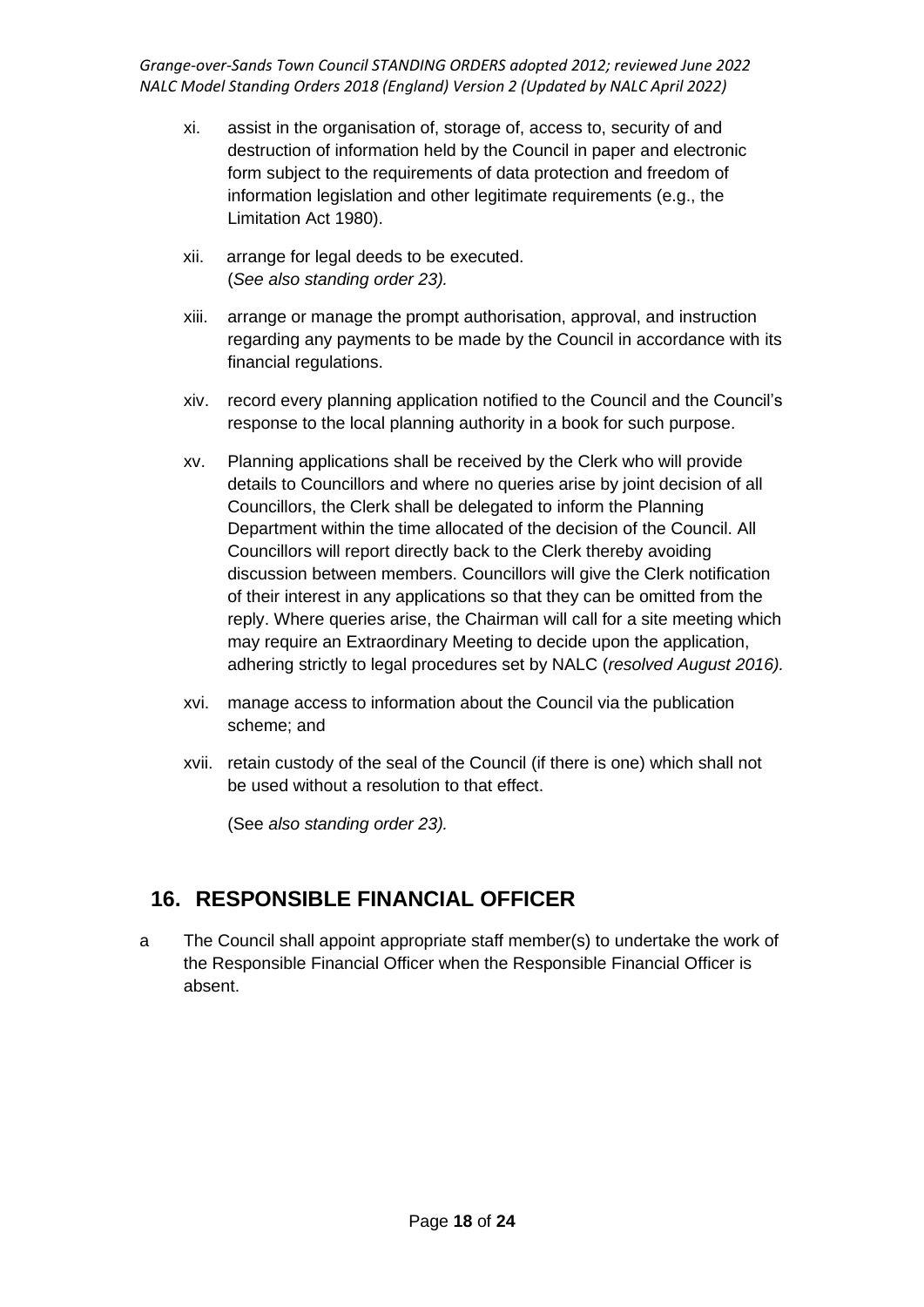- xi. assist in the organisation of, storage of, access to, security of and destruction of information held by the Council in paper and electronic form subject to the requirements of data protection and freedom of information legislation and other legitimate requirements (e.g., the Limitation Act 1980).
- xii. arrange for legal deeds to be executed. (*See also standing order 23).*
- xiii. arrange or manage the prompt authorisation, approval, and instruction regarding any payments to be made by the Council in accordance with its financial regulations.
- xiv. record every planning application notified to the Council and the Council's response to the local planning authority in a book for such purpose.
- xv. Planning applications shall be received by the Clerk who will provide details to Councillors and where no queries arise by joint decision of all Councillors, the Clerk shall be delegated to inform the Planning Department within the time allocated of the decision of the Council. All Councillors will report directly back to the Clerk thereby avoiding discussion between members. Councillors will give the Clerk notification of their interest in any applications so that they can be omitted from the reply. Where queries arise, the Chairman will call for a site meeting which may require an Extraordinary Meeting to decide upon the application, adhering strictly to legal procedures set by NALC (*resolved August 2016).*
- xvi. manage access to information about the Council via the publication scheme; and
- xvii. retain custody of the seal of the Council (if there is one) which shall not be used without a resolution to that effect.

(See *also standing order 23).*

### **16. RESPONSIBLE FINANCIAL OFFICER**

a The Council shall appoint appropriate staff member(s) to undertake the work of the Responsible Financial Officer when the Responsible Financial Officer is absent.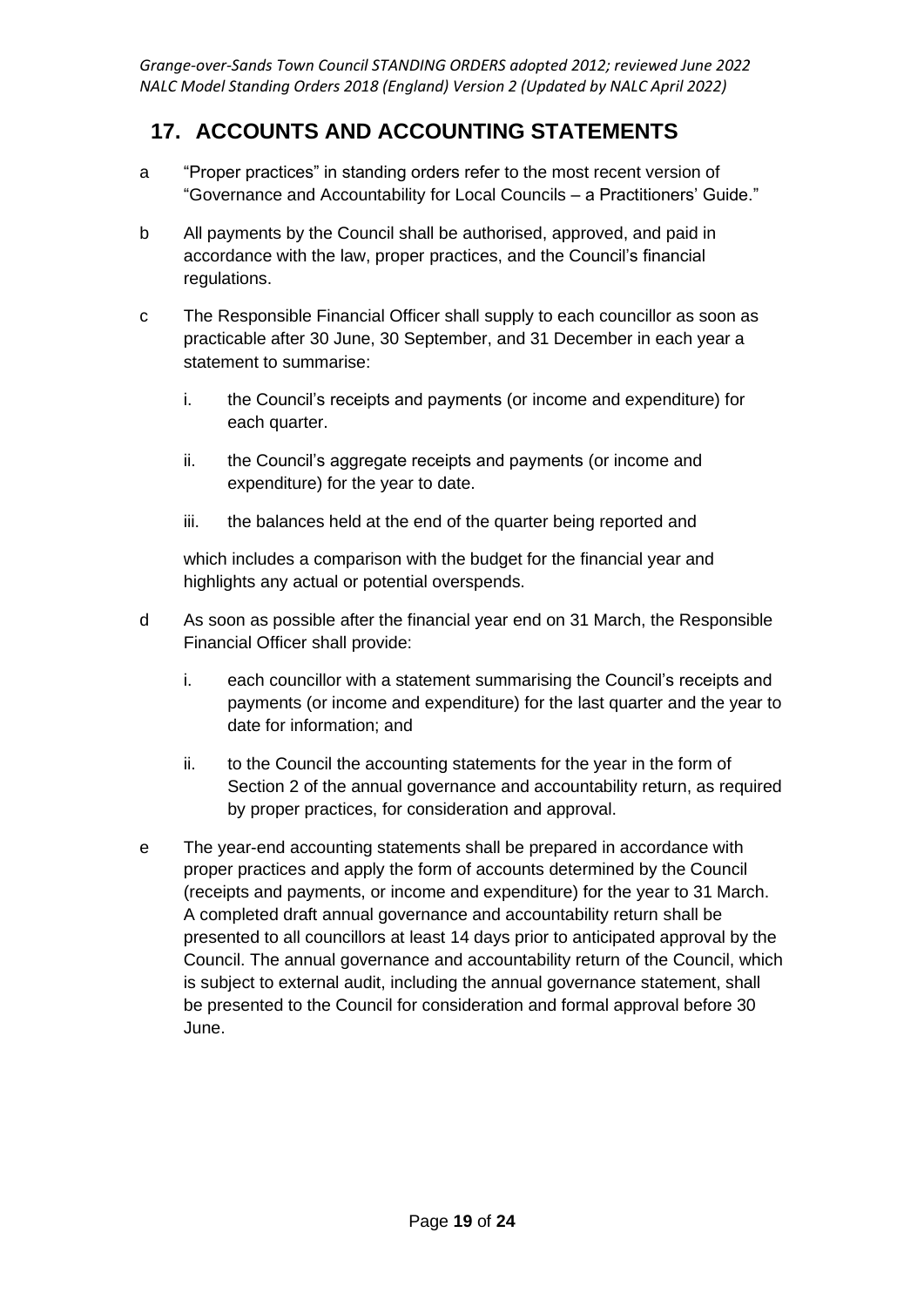# **17. ACCOUNTS AND ACCOUNTING STATEMENTS**

- a "Proper practices" in standing orders refer to the most recent version of "Governance and Accountability for Local Councils – a Practitioners' Guide."
- b All payments by the Council shall be authorised, approved, and paid in accordance with the law, proper practices, and the Council's financial regulations.
- c The Responsible Financial Officer shall supply to each councillor as soon as practicable after 30 June, 30 September, and 31 December in each year a statement to summarise:
	- i. the Council's receipts and payments (or income and expenditure) for each quarter.
	- ii. the Council's aggregate receipts and payments (or income and expenditure) for the year to date.
	- iii. the balances held at the end of the quarter being reported and

which includes a comparison with the budget for the financial year and highlights any actual or potential overspends.

- d As soon as possible after the financial year end on 31 March, the Responsible Financial Officer shall provide:
	- i. each councillor with a statement summarising the Council's receipts and payments (or income and expenditure) for the last quarter and the year to date for information; and
	- ii. to the Council the accounting statements for the year in the form of Section 2 of the annual governance and accountability return, as required by proper practices, for consideration and approval.
- e The year-end accounting statements shall be prepared in accordance with proper practices and apply the form of accounts determined by the Council (receipts and payments, or income and expenditure) for the year to 31 March. A completed draft annual governance and accountability return shall be presented to all councillors at least 14 days prior to anticipated approval by the Council. The annual governance and accountability return of the Council, which is subject to external audit, including the annual governance statement, shall be presented to the Council for consideration and formal approval before 30 June.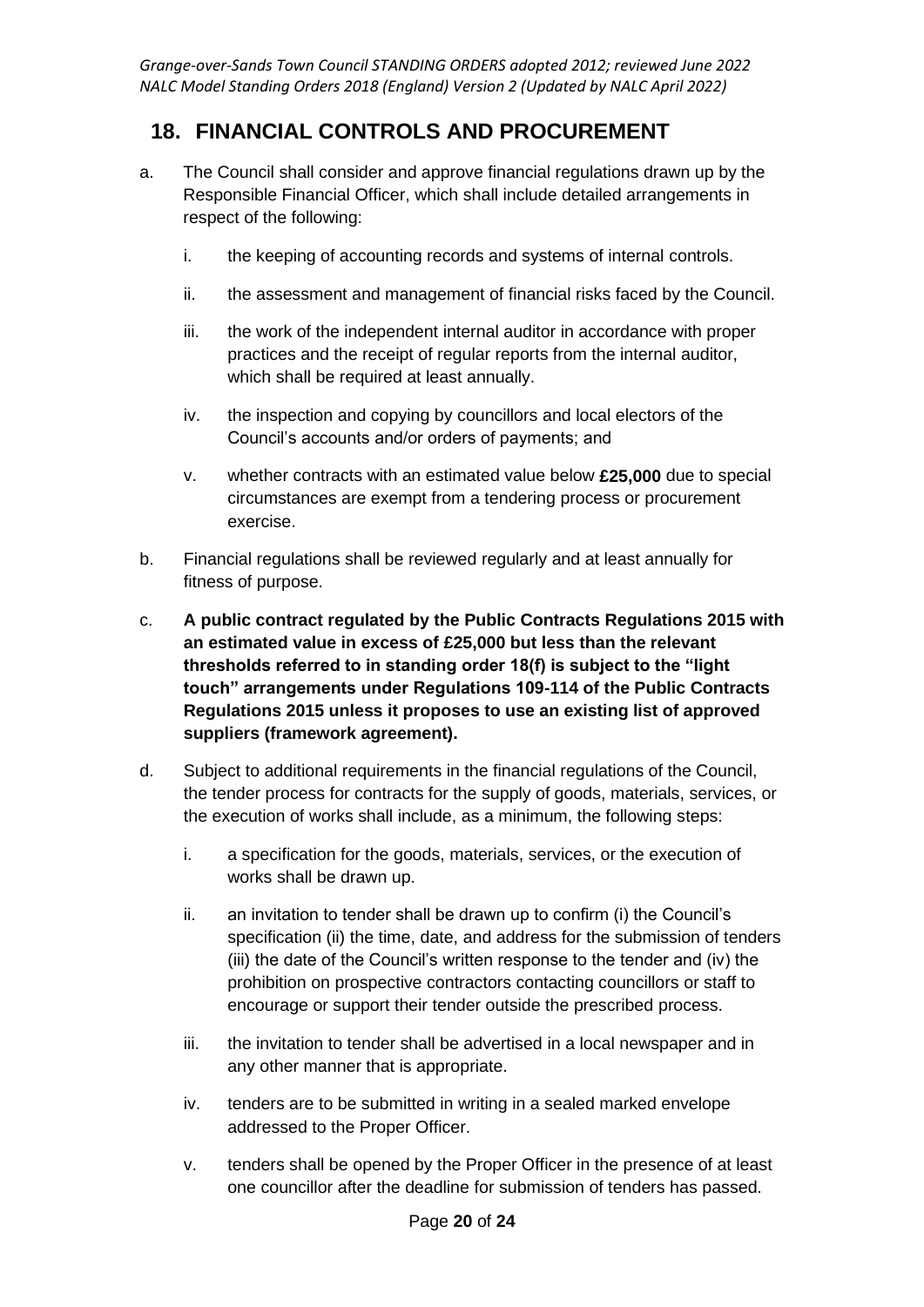### **18. FINANCIAL CONTROLS AND PROCUREMENT**

- a. The Council shall consider and approve financial regulations drawn up by the Responsible Financial Officer, which shall include detailed arrangements in respect of the following:
	- i. the keeping of accounting records and systems of internal controls.
	- ii. the assessment and management of financial risks faced by the Council.
	- iii. the work of the independent internal auditor in accordance with proper practices and the receipt of regular reports from the internal auditor, which shall be required at least annually.
	- iv. the inspection and copying by councillors and local electors of the Council's accounts and/or orders of payments; and
	- v. whether contracts with an estimated value below **£25,000** due to special circumstances are exempt from a tendering process or procurement exercise.
- b. Financial regulations shall be reviewed regularly and at least annually for fitness of purpose.
- c. **A public contract regulated by the Public Contracts Regulations 2015 with an estimated value in excess of £25,000 but less than the relevant thresholds referred to in standing order 18(f) is subject to the "light touch" arrangements under Regulations 109-114 of the Public Contracts Regulations 2015 unless it proposes to use an existing list of approved suppliers (framework agreement).**
- d. Subject to additional requirements in the financial regulations of the Council, the tender process for contracts for the supply of goods, materials, services, or the execution of works shall include, as a minimum, the following steps:
	- i. a specification for the goods, materials, services, or the execution of works shall be drawn up.
	- ii. an invitation to tender shall be drawn up to confirm (i) the Council's specification (ii) the time, date, and address for the submission of tenders (iii) the date of the Council's written response to the tender and (iv) the prohibition on prospective contractors contacting councillors or staff to encourage or support their tender outside the prescribed process.
	- iii. the invitation to tender shall be advertised in a local newspaper and in any other manner that is appropriate.
	- iv. tenders are to be submitted in writing in a sealed marked envelope addressed to the Proper Officer.
	- v. tenders shall be opened by the Proper Officer in the presence of at least one councillor after the deadline for submission of tenders has passed.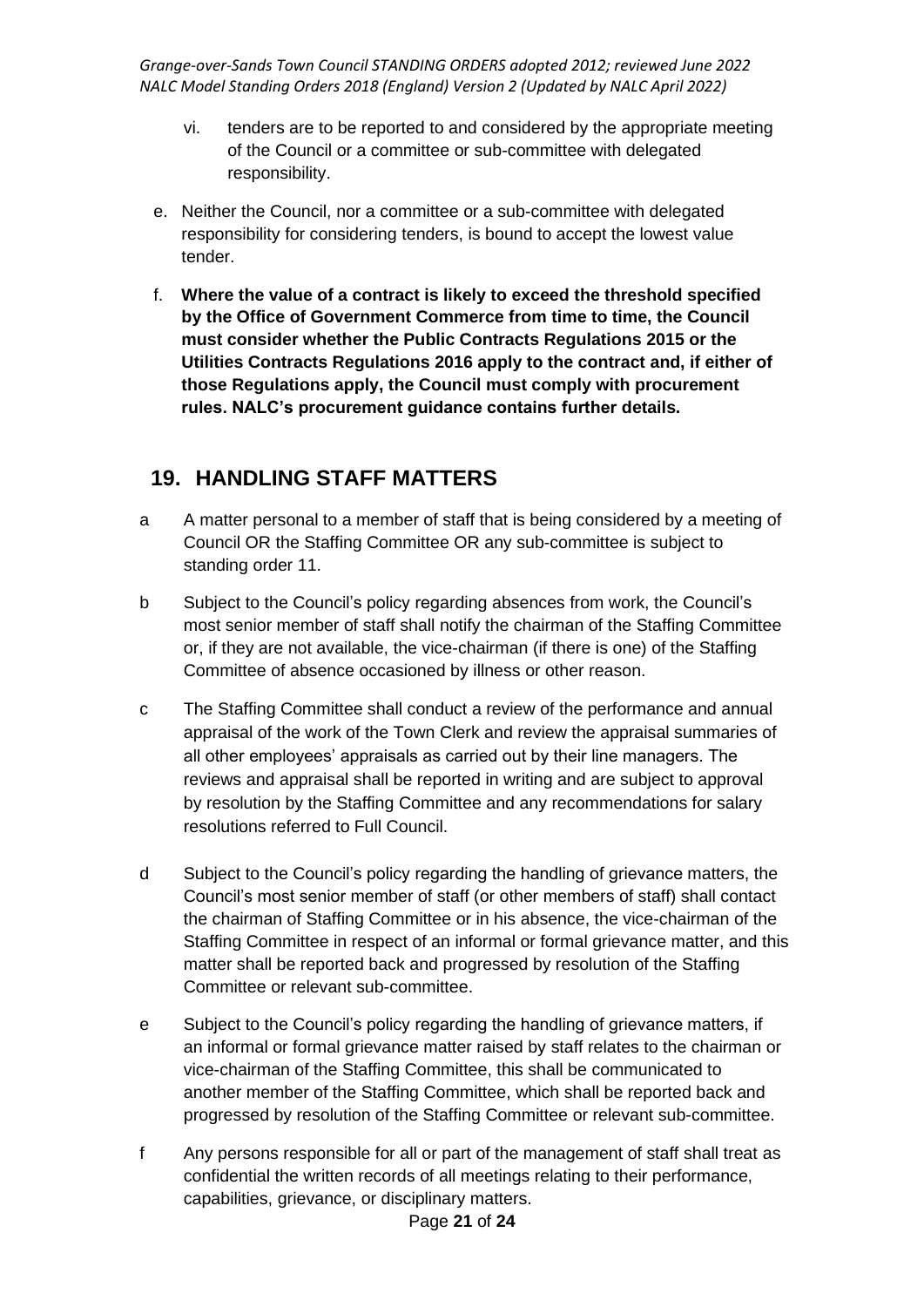- vi. tenders are to be reported to and considered by the appropriate meeting of the Council or a committee or sub-committee with delegated responsibility.
- e. Neither the Council, nor a committee or a sub-committee with delegated responsibility for considering tenders, is bound to accept the lowest value tender.
- f. **Where the value of a contract is likely to exceed the threshold specified by the Office of Government Commerce from time to time, the Council must consider whether the Public Contracts Regulations 2015 or the Utilities Contracts Regulations 2016 apply to the contract and, if either of those Regulations apply, the Council must comply with procurement rules. NALC's procurement guidance contains further details.**

### **19. HANDLING STAFF MATTERS**

- a A matter personal to a member of staff that is being considered by a meeting of Council OR the Staffing Committee OR any sub-committee is subject to standing order 11.
- b Subject to the Council's policy regarding absences from work, the Council's most senior member of staff shall notify the chairman of the Staffing Committee or, if they are not available, the vice-chairman (if there is one) of the Staffing Committee of absence occasioned by illness or other reason.
- c The Staffing Committee shall conduct a review of the performance and annual appraisal of the work of the Town Clerk and review the appraisal summaries of all other employees' appraisals as carried out by their line managers. The reviews and appraisal shall be reported in writing and are subject to approval by resolution by the Staffing Committee and any recommendations for salary resolutions referred to Full Council.
- d Subject to the Council's policy regarding the handling of grievance matters, the Council's most senior member of staff (or other members of staff) shall contact the chairman of Staffing Committee or in his absence, the vice-chairman of the Staffing Committee in respect of an informal or formal grievance matter, and this matter shall be reported back and progressed by resolution of the Staffing Committee or relevant sub-committee.
- e Subject to the Council's policy regarding the handling of grievance matters, if an informal or formal grievance matter raised by staff relates to the chairman or vice-chairman of the Staffing Committee, this shall be communicated to another member of the Staffing Committee, which shall be reported back and progressed by resolution of the Staffing Committee or relevant sub-committee.
- f Any persons responsible for all or part of the management of staff shall treat as confidential the written records of all meetings relating to their performance, capabilities, grievance, or disciplinary matters.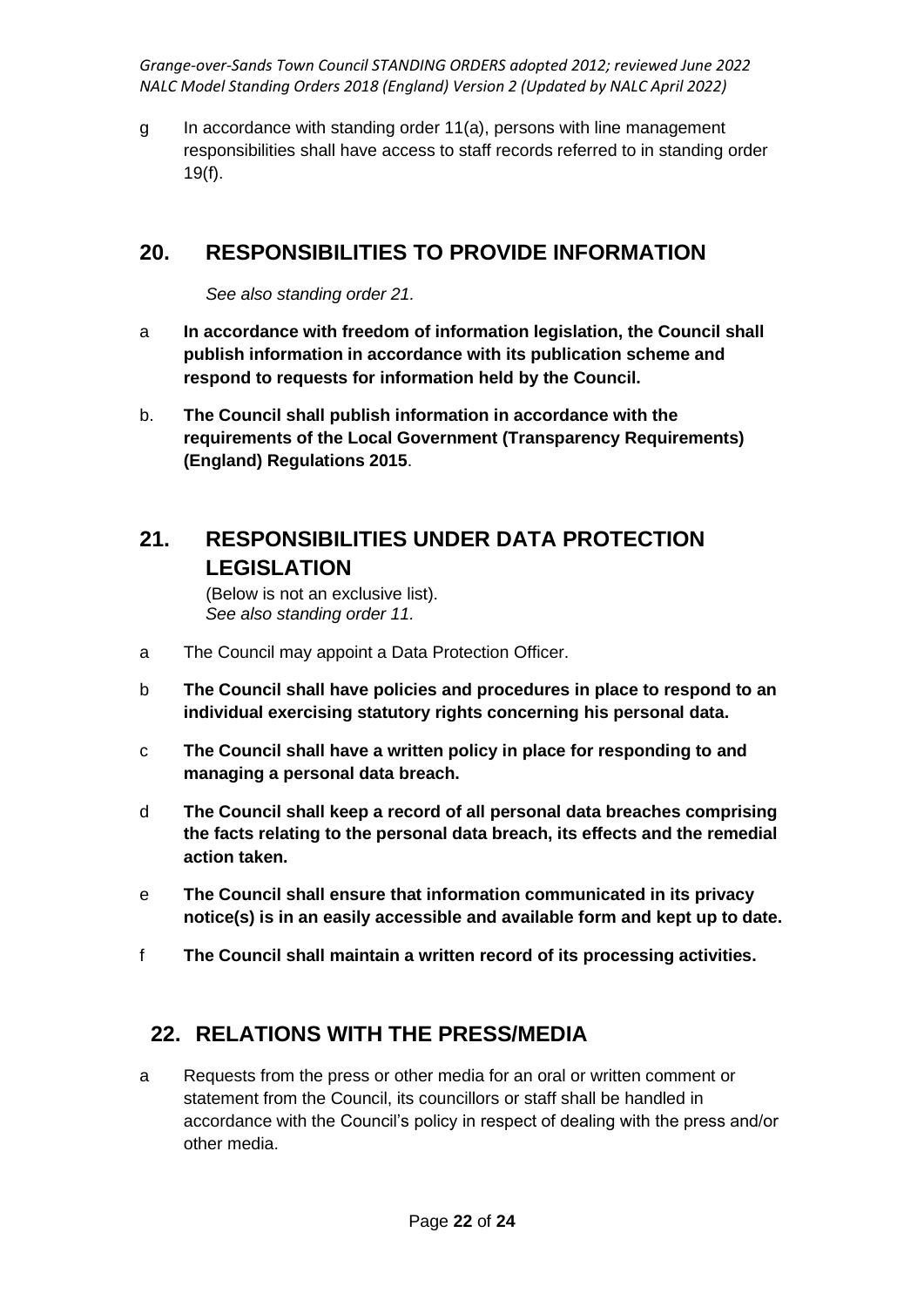g In accordance with standing order 11(a), persons with line management responsibilities shall have access to staff records referred to in standing order 19(f).

# **20. RESPONSIBILITIES TO PROVIDE INFORMATION**

*See also standing order 21.*

- a **In accordance with freedom of information legislation, the Council shall publish information in accordance with its publication scheme and respond to requests for information held by the Council.**
- b. **The Council shall publish information in accordance with the requirements of the Local Government (Transparency Requirements) (England) Regulations 2015**.

### **21. RESPONSIBILITIES UNDER DATA PROTECTION LEGISLATION**

(Below is not an exclusive list). *See also standing order 11.*

- a The Council may appoint a Data Protection Officer.
- b **The Council shall have policies and procedures in place to respond to an individual exercising statutory rights concerning his personal data.**
- c **The Council shall have a written policy in place for responding to and managing a personal data breach.**
- d **The Council shall keep a record of all personal data breaches comprising the facts relating to the personal data breach, its effects and the remedial action taken.**
- e **The Council shall ensure that information communicated in its privacy notice(s) is in an easily accessible and available form and kept up to date.**
- f **The Council shall maintain a written record of its processing activities.**

### **22. RELATIONS WITH THE PRESS/MEDIA**

a Requests from the press or other media for an oral or written comment or statement from the Council, its councillors or staff shall be handled in accordance with the Council's policy in respect of dealing with the press and/or other media.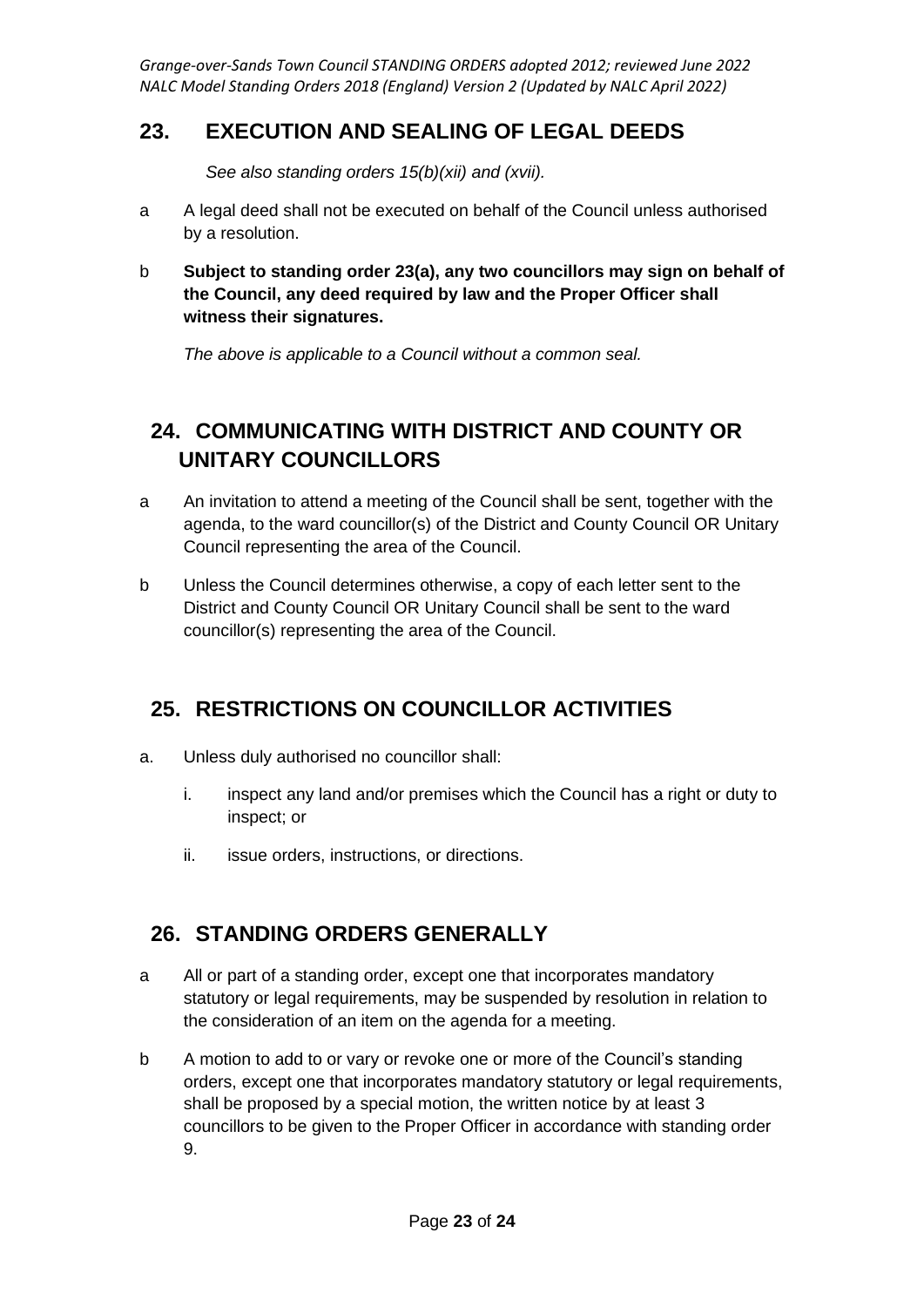### **23. EXECUTION AND SEALING OF LEGAL DEEDS**

*See also standing orders 15(b)(xii) and (xvii).*

- a A legal deed shall not be executed on behalf of the Council unless authorised by a resolution.
- b **Subject to standing order 23(a), any two councillors may sign on behalf of the Council, any deed required by law and the Proper Officer shall witness their signatures.**

*The above is applicable to a Council without a common seal.*

# **24. COMMUNICATING WITH DISTRICT AND COUNTY OR UNITARY COUNCILLORS**

- a An invitation to attend a meeting of the Council shall be sent, together with the agenda, to the ward councillor(s) of the District and County Council OR Unitary Council representing the area of the Council.
- b Unless the Council determines otherwise, a copy of each letter sent to the District and County Council OR Unitary Council shall be sent to the ward councillor(s) representing the area of the Council.

# **25. RESTRICTIONS ON COUNCILLOR ACTIVITIES**

- a. Unless duly authorised no councillor shall:
	- i. inspect any land and/or premises which the Council has a right or duty to inspect; or
	- ii. issue orders, instructions, or directions.

### **26. STANDING ORDERS GENERALLY**

- a All or part of a standing order, except one that incorporates mandatory statutory or legal requirements, may be suspended by resolution in relation to the consideration of an item on the agenda for a meeting.
- b A motion to add to or vary or revoke one or more of the Council's standing orders, except one that incorporates mandatory statutory or legal requirements, shall be proposed by a special motion, the written notice by at least 3 councillors to be given to the Proper Officer in accordance with standing order 9.